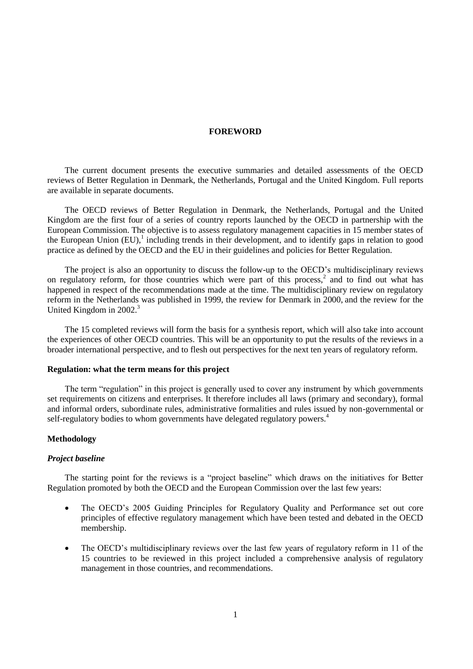## **FOREWORD**

The current document presents the executive summaries and detailed assessments of the OECD reviews of Better Regulation in Denmark, the Netherlands, Portugal and the United Kingdom. Full reports are available in separate documents.

The OECD reviews of Better Regulation in Denmark, the Netherlands, Portugal and the United Kingdom are the first four of a series of country reports launched by the OECD in partnership with the European Commission. The objective is to assess regulatory management capacities in 15 member states of the European Union  $(EU)$ , including trends in their development, and to identify gaps in relation to good practice as defined by the OECD and the EU in their guidelines and policies for Better Regulation.

The project is also an opportunity to discuss the follow-up to the OECD's multidisciplinary reviews on regulatory reform, for those countries which were part of this process,<sup>2</sup> and to find out what has happened in respect of the recommendations made at the time. The multidisciplinary review on regulatory reform in the Netherlands was published in 1999, the review for Denmark in 2000, and the review for the United Kingdom in 2002.<sup>3</sup>

The 15 completed reviews will form the basis for a synthesis report, which will also take into account the experiences of other OECD countries. This will be an opportunity to put the results of the reviews in a broader international perspective, and to flesh out perspectives for the next ten years of regulatory reform.

## **Regulation: what the term means for this project**

The term "regulation" in this project is generally used to cover any instrument by which governments set requirements on citizens and enterprises. It therefore includes all laws (primary and secondary), formal and informal orders, subordinate rules, administrative formalities and rules issued by non-governmental or self-regulatory bodies to whom governments have delegated regulatory powers.<sup>4</sup>

## **Methodology**

## *Project baseline*

The starting point for the reviews is a "project baseline" which draws on the initiatives for Better Regulation promoted by both the OECD and the European Commission over the last few years:

- The OECD's 2005 Guiding Principles for Regulatory Quality and Performance set out core principles of effective regulatory management which have been tested and debated in the OECD membership.
- The OECD's multidisciplinary reviews over the last few years of regulatory reform in 11 of the 15 countries to be reviewed in this project included a comprehensive analysis of regulatory management in those countries, and recommendations.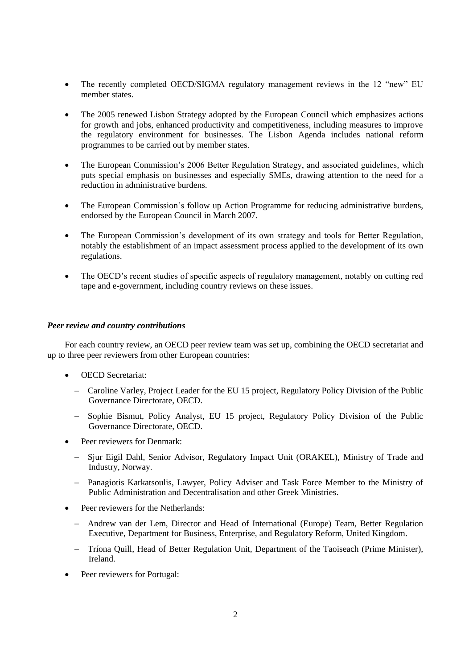- The recently completed OECD/SIGMA regulatory management reviews in the 12 "new" EU member states.
- The 2005 renewed Lisbon Strategy adopted by the European Council which emphasizes actions for growth and jobs, enhanced productivity and competitiveness, including measures to improve the regulatory environment for businesses. The Lisbon Agenda includes national reform programmes to be carried out by member states.
- The European Commission's 2006 Better Regulation Strategy, and associated guidelines, which puts special emphasis on businesses and especially SMEs, drawing attention to the need for a reduction in administrative burdens.
- The European Commission's follow up Action Programme for reducing administrative burdens, endorsed by the European Council in March 2007.
- The European Commission's development of its own strategy and tools for Better Regulation, notably the establishment of an impact assessment process applied to the development of its own regulations.
- The OECD's recent studies of specific aspects of regulatory management, notably on cutting red tape and e-government, including country reviews on these issues.

# *Peer review and country contributions*

For each country review, an OECD peer review team was set up, combining the OECD secretariat and up to three peer reviewers from other European countries:

- OECD Secretariat:
	- Caroline Varley, Project Leader for the EU 15 project, Regulatory Policy Division of the Public Governance Directorate, OECD.
	- Sophie Bismut, Policy Analyst, EU 15 project, Regulatory Policy Division of the Public Governance Directorate, OECD.
- Peer reviewers for Denmark:
	- Sjur Eigil Dahl, Senior Advisor, Regulatory Impact Unit (ORAKEL), Ministry of Trade and Industry, Norway.
	- Panagiotis Karkatsoulis, Lawyer, Policy Adviser and Task Force Member to the Ministry of Public Administration and Decentralisation and other Greek Ministries.
- Peer reviewers for the Netherlands:
	- Andrew van der Lem, Director and Head of International (Europe) Team, Better Regulation Executive, Department for Business, Enterprise, and Regulatory Reform, United Kingdom.
	- Tríona Quill, Head of Better Regulation Unit, Department of the Taoiseach (Prime Minister), Ireland.
- Peer reviewers for Portugal: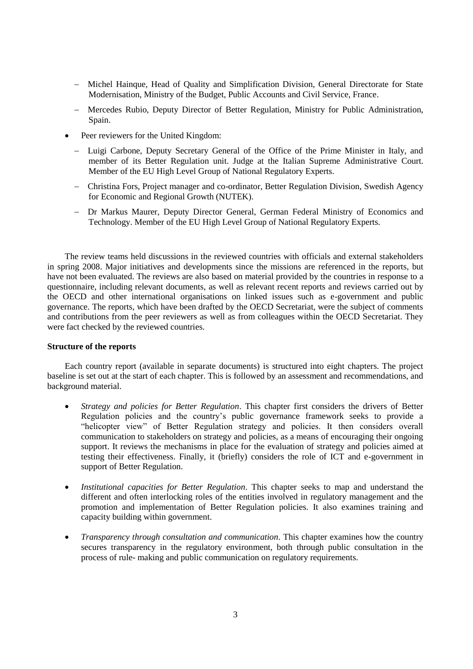- Michel Hainque, Head of Quality and Simplification Division, General Directorate for State Modernisation, Ministry of the Budget, Public Accounts and Civil Service, France.
- Mercedes Rubio, Deputy Director of Better Regulation, Ministry for Public Administration, Spain.
- Peer reviewers for the United Kingdom:
	- Luigi Carbone, Deputy Secretary General of the Office of the Prime Minister in Italy, and member of its Better Regulation unit. Judge at the Italian Supreme Administrative Court. Member of the EU High Level Group of National Regulatory Experts.
	- Christina Fors, Project manager and co-ordinator, Better Regulation Division, Swedish Agency for Economic and Regional Growth (NUTEK).
	- Dr Markus Maurer, Deputy Director General, German Federal Ministry of Economics and Technology. Member of the EU High Level Group of National Regulatory Experts.

The review teams held discussions in the reviewed countries with officials and external stakeholders in spring 2008. Major initiatives and developments since the missions are referenced in the reports, but have not been evaluated. The reviews are also based on material provided by the countries in response to a questionnaire, including relevant documents, as well as relevant recent reports and reviews carried out by the OECD and other international organisations on linked issues such as e-government and public governance. The reports, which have been drafted by the OECD Secretariat, were the subject of comments and contributions from the peer reviewers as well as from colleagues within the OECD Secretariat. They were fact checked by the reviewed countries.

## **Structure of the reports**

Each country report (available in separate documents) is structured into eight chapters. The project baseline is set out at the start of each chapter. This is followed by an assessment and recommendations, and background material.

- *Strategy and policies for Better Regulation*. This chapter first considers the drivers of Better Regulation policies and the country's public governance framework seeks to provide a "helicopter view" of Better Regulation strategy and policies. It then considers overall communication to stakeholders on strategy and policies, as a means of encouraging their ongoing support. It reviews the mechanisms in place for the evaluation of strategy and policies aimed at testing their effectiveness. Finally, it (briefly) considers the role of ICT and e-government in support of Better Regulation.
- *Institutional capacities for Better Regulation*. This chapter seeks to map and understand the different and often interlocking roles of the entities involved in regulatory management and the promotion and implementation of Better Regulation policies. It also examines training and capacity building within government.
- *Transparency through consultation and communication*. This chapter examines how the country secures transparency in the regulatory environment, both through public consultation in the process of rule- making and public communication on regulatory requirements.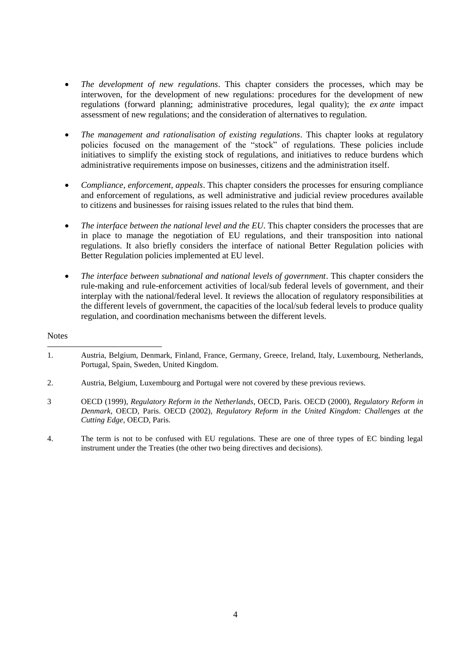- *The development of new regulations*. This chapter considers the processes, which may be interwoven, for the development of new regulations: procedures for the development of new regulations (forward planning; administrative procedures, legal quality); the *ex ante* impact assessment of new regulations; and the consideration of alternatives to regulation.
- *The management and rationalisation of existing regulations*. This chapter looks at regulatory policies focused on the management of the "stock" of regulations. These policies include initiatives to simplify the existing stock of regulations, and initiatives to reduce burdens which administrative requirements impose on businesses, citizens and the administration itself.
- *Compliance, enforcement, appeals*. This chapter considers the processes for ensuring compliance and enforcement of regulations, as well administrative and judicial review procedures available to citizens and businesses for raising issues related to the rules that bind them.
- The interface between the national level and the EU. This chapter considers the processes that are in place to manage the negotiation of EU regulations, and their transposition into national regulations. It also briefly considers the interface of national Better Regulation policies with Better Regulation policies implemented at EU level.
- *The interface between subnational and national levels of government*. This chapter considers the rule-making and rule-enforcement activities of local/sub federal levels of government, and their interplay with the national/federal level. It reviews the allocation of regulatory responsibilities at the different levels of government, the capacities of the local/sub federal levels to produce quality regulation, and coordination mechanisms between the different levels.

## **Notes**

 $\overline{a}$ 

<sup>1.</sup> Austria, Belgium, Denmark, Finland, France, Germany, Greece, Ireland, Italy, Luxembourg, Netherlands, Portugal, Spain, Sweden, United Kingdom.

<sup>2.</sup> Austria, Belgium, Luxembourg and Portugal were not covered by these previous reviews.

<sup>3</sup> OECD (1999), *Regulatory Reform in the Netherlands*, OECD, Paris. OECD (2000), *Regulatory Reform in Denmark*, OECD, Paris. OECD (2002), *Regulatory Reform in the United Kingdom: Challenges at the Cutting Edge*, OECD, Paris.

<sup>4.</sup> The term is not to be confused with EU regulations. These are one of three types of EC binding legal instrument under the Treaties (the other two being directives and decisions).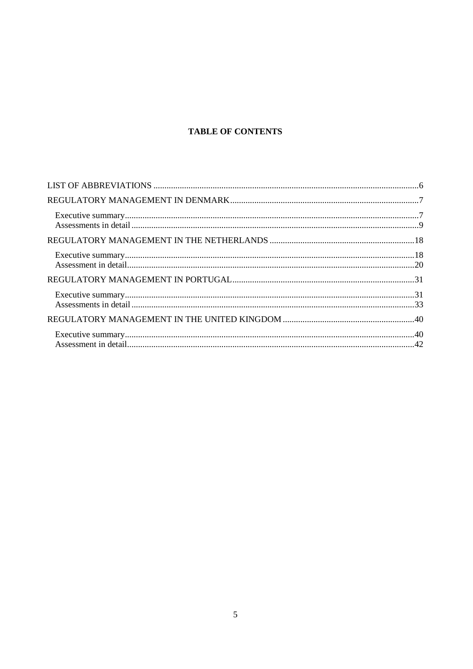# **TABLE OF CONTENTS**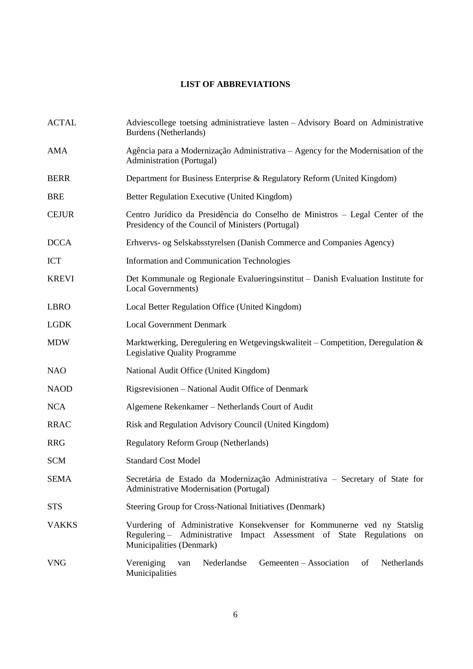# **LIST OF ABBREVIATIONS**

<span id="page-5-0"></span>

| <b>ACTAL</b> | Adviescollege toetsing administratieve lasten - Advisory Board on Administrative<br>Burdens (Netherlands)                                                                    |
|--------------|------------------------------------------------------------------------------------------------------------------------------------------------------------------------------|
| AMA          | Agência para a Modernização Administrativa – Agency for the Modernisation of the<br>Administration (Portugal)                                                                |
| <b>BERR</b>  | Department for Business Enterprise & Regulatory Reform (United Kingdom)                                                                                                      |
| <b>BRE</b>   | Better Regulation Executive (United Kingdom)                                                                                                                                 |
| <b>CEJUR</b> | Centro Jurídico da Presidência do Conselho de Ministros – Legal Center of the<br>Presidency of the Council of Ministers (Portugal)                                           |
| <b>DCCA</b>  | Erhvervs- og Selskabsstyrelsen (Danish Commerce and Companies Agency)                                                                                                        |
| <b>ICT</b>   | Information and Communication Technologies                                                                                                                                   |
| <b>KREVI</b> | Det Kommunale og Regionale Evalueringsinstitut – Danish Evaluation Institute for<br>Local Governments)                                                                       |
| <b>LBRO</b>  | Local Better Regulation Office (United Kingdom)                                                                                                                              |
| <b>LGDK</b>  | <b>Local Government Denmark</b>                                                                                                                                              |
| <b>MDW</b>   | Marktwerking, Deregulering en Wetgevingskwaliteit – Competition, Deregulation &<br>Legislative Quality Programme                                                             |
| <b>NAO</b>   | National Audit Office (United Kingdom)                                                                                                                                       |
| <b>NAOD</b>  | Rigsrevisionen – National Audit Office of Denmark                                                                                                                            |
| <b>NCA</b>   | Algemene Rekenkamer - Netherlands Court of Audit                                                                                                                             |
| <b>RRAC</b>  | Risk and Regulation Advisory Council (United Kingdom)                                                                                                                        |
| <b>RRG</b>   | <b>Regulatory Reform Group (Netherlands)</b>                                                                                                                                 |
| <b>SCM</b>   | <b>Standard Cost Model</b>                                                                                                                                                   |
| <b>SEMA</b>  | Secretária de Estado da Modernização Administrativa - Secretary of State for<br>Administrative Modernisation (Portugal)                                                      |
| <b>STS</b>   | Steering Group for Cross-National Initiatives (Denmark)                                                                                                                      |
| <b>VAKKS</b> | Vurdering of Administrative Konsekvenser for Kommunerne ved ny Statslig<br>Regulering - Administrative Impact Assessment of State Regulations on<br>Municipalities (Denmark) |
| <b>VNG</b>   | Vereniging<br>Nederlandse<br>Gemeenten – Association<br>Netherlands<br>of<br>van<br>Municipalities                                                                           |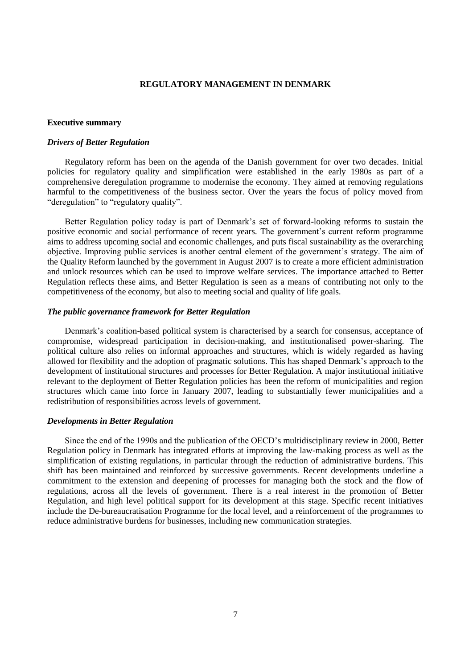# <span id="page-6-0"></span>**REGULATORY MANAGEMENT IN DENMARK**

#### <span id="page-6-1"></span>**Executive summary**

## *Drivers of Better Regulation*

Regulatory reform has been on the agenda of the Danish government for over two decades. Initial policies for regulatory quality and simplification were established in the early 1980s as part of a comprehensive deregulation programme to modernise the economy. They aimed at removing regulations harmful to the competitiveness of the business sector. Over the years the focus of policy moved from "deregulation" to "regulatory quality".

Better Regulation policy today is part of Denmark's set of forward-looking reforms to sustain the positive economic and social performance of recent years. The government's current reform programme aims to address upcoming social and economic challenges, and puts fiscal sustainability as the overarching objective. Improving public services is another central element of the government's strategy. The aim of the Quality Reform launched by the government in August 2007 is to create a more efficient administration and unlock resources which can be used to improve welfare services. The importance attached to Better Regulation reflects these aims, and Better Regulation is seen as a means of contributing not only to the competitiveness of the economy, but also to meeting social and quality of life goals.

## *The public governance framework for Better Regulation*

Denmark's coalition-based political system is characterised by a search for consensus, acceptance of compromise, widespread participation in decision-making, and institutionalised power-sharing. The political culture also relies on informal approaches and structures, which is widely regarded as having allowed for flexibility and the adoption of pragmatic solutions. This has shaped Denmark's approach to the development of institutional structures and processes for Better Regulation. A major institutional initiative relevant to the deployment of Better Regulation policies has been the reform of municipalities and region structures which came into force in January 2007, leading to substantially fewer municipalities and a redistribution of responsibilities across levels of government.

## *Developments in Better Regulation*

Since the end of the 1990s and the publication of the OECD's multidisciplinary review in 2000, Better Regulation policy in Denmark has integrated efforts at improving the law-making process as well as the simplification of existing regulations, in particular through the reduction of administrative burdens. This shift has been maintained and reinforced by successive governments. Recent developments underline a commitment to the extension and deepening of processes for managing both the stock and the flow of regulations, across all the levels of government. There is a real interest in the promotion of Better Regulation, and high level political support for its development at this stage. Specific recent initiatives include the De-bureaucratisation Programme for the local level, and a reinforcement of the programmes to reduce administrative burdens for businesses, including new communication strategies.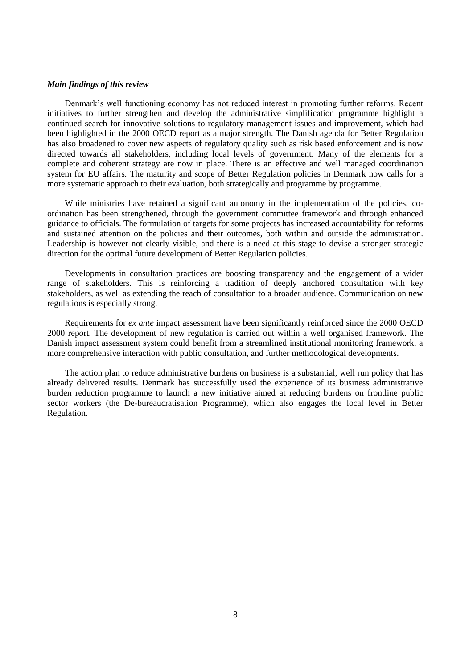## *Main findings of this review*

Denmark's well functioning economy has not reduced interest in promoting further reforms. Recent initiatives to further strengthen and develop the administrative simplification programme highlight a continued search for innovative solutions to regulatory management issues and improvement, which had been highlighted in the 2000 OECD report as a major strength. The Danish agenda for Better Regulation has also broadened to cover new aspects of regulatory quality such as risk based enforcement and is now directed towards all stakeholders, including local levels of government. Many of the elements for a complete and coherent strategy are now in place. There is an effective and well managed coordination system for EU affairs. The maturity and scope of Better Regulation policies in Denmark now calls for a more systematic approach to their evaluation, both strategically and programme by programme.

While ministries have retained a significant autonomy in the implementation of the policies, coordination has been strengthened, through the government committee framework and through enhanced guidance to officials. The formulation of targets for some projects has increased accountability for reforms and sustained attention on the policies and their outcomes, both within and outside the administration. Leadership is however not clearly visible, and there is a need at this stage to devise a stronger strategic direction for the optimal future development of Better Regulation policies.

Developments in consultation practices are boosting transparency and the engagement of a wider range of stakeholders. This is reinforcing a tradition of deeply anchored consultation with key stakeholders, as well as extending the reach of consultation to a broader audience. Communication on new regulations is especially strong.

Requirements for *ex ante* impact assessment have been significantly reinforced since the 2000 OECD 2000 report. The development of new regulation is carried out within a well organised framework. The Danish impact assessment system could benefit from a streamlined institutional monitoring framework, a more comprehensive interaction with public consultation, and further methodological developments.

The action plan to reduce administrative burdens on business is a substantial, well run policy that has already delivered results. Denmark has successfully used the experience of its business administrative burden reduction programme to launch a new initiative aimed at reducing burdens on frontline public sector workers (the De-bureaucratisation Programme), which also engages the local level in Better Regulation.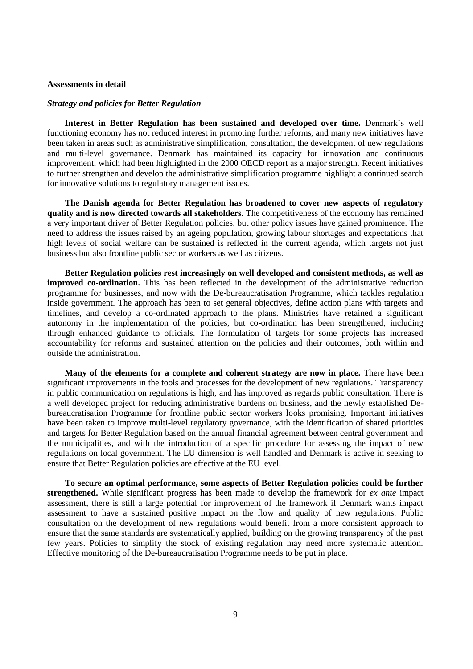## <span id="page-8-0"></span>**Assessments in detail**

#### *Strategy and policies for Better Regulation*

**Interest in Better Regulation has been sustained and developed over time.** Denmark's well functioning economy has not reduced interest in promoting further reforms, and many new initiatives have been taken in areas such as administrative simplification, consultation, the development of new regulations and multi-level governance. Denmark has maintained its capacity for innovation and continuous improvement, which had been highlighted in the 2000 OECD report as a major strength. Recent initiatives to further strengthen and develop the administrative simplification programme highlight a continued search for innovative solutions to regulatory management issues.

**The Danish agenda for Better Regulation has broadened to cover new aspects of regulatory quality and is now directed towards all stakeholders.** The competitiveness of the economy has remained a very important driver of Better Regulation policies, but other policy issues have gained prominence. The need to address the issues raised by an ageing population, growing labour shortages and expectations that high levels of social welfare can be sustained is reflected in the current agenda, which targets not just business but also frontline public sector workers as well as citizens.

**Better Regulation policies rest increasingly on well developed and consistent methods, as well as improved co-ordination.** This has been reflected in the development of the administrative reduction programme for businesses, and now with the De-bureaucratisation Programme, which tackles regulation inside government. The approach has been to set general objectives, define action plans with targets and timelines, and develop a co-ordinated approach to the plans. Ministries have retained a significant autonomy in the implementation of the policies, but co-ordination has been strengthened, including through enhanced guidance to officials. The formulation of targets for some projects has increased accountability for reforms and sustained attention on the policies and their outcomes, both within and outside the administration.

**Many of the elements for a complete and coherent strategy are now in place.** There have been significant improvements in the tools and processes for the development of new regulations. Transparency in public communication on regulations is high, and has improved as regards public consultation. There is a well developed project for reducing administrative burdens on business, and the newly established Debureaucratisation Programme for frontline public sector workers looks promising. Important initiatives have been taken to improve multi-level regulatory governance, with the identification of shared priorities and targets for Better Regulation based on the annual financial agreement between central government and the municipalities, and with the introduction of a specific procedure for assessing the impact of new regulations on local government. The EU dimension is well handled and Denmark is active in seeking to ensure that Better Regulation policies are effective at the EU level.

**To secure an optimal performance, some aspects of Better Regulation policies could be further strengthened.** While significant progress has been made to develop the framework for *ex ante* impact assessment, there is still a large potential for improvement of the framework if Denmark wants impact assessment to have a sustained positive impact on the flow and quality of new regulations. Public consultation on the development of new regulations would benefit from a more consistent approach to ensure that the same standards are systematically applied, building on the growing transparency of the past few years. Policies to simplify the stock of existing regulation may need more systematic attention. Effective monitoring of the De-bureaucratisation Programme needs to be put in place.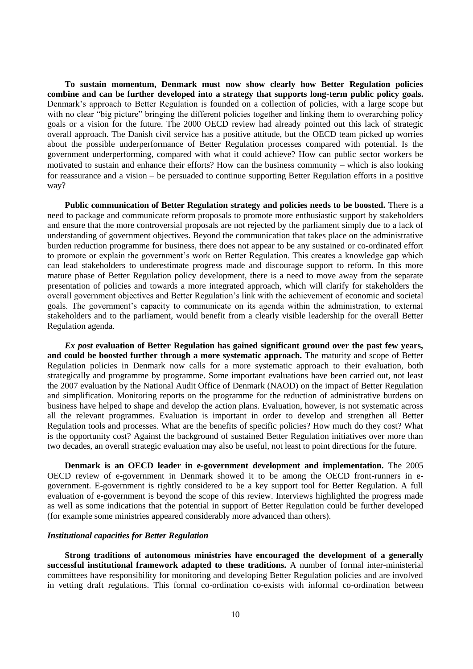**To sustain momentum, Denmark must now show clearly how Better Regulation policies combine and can be further developed into a strategy that supports long-term public policy goals.** Denmark's approach to Better Regulation is founded on a collection of policies, with a large scope but with no clear "big picture" bringing the different policies together and linking them to overarching policy goals or a vision for the future. The 2000 OECD review had already pointed out this lack of strategic overall approach. The Danish civil service has a positive attitude, but the OECD team picked up worries about the possible underperformance of Better Regulation processes compared with potential. Is the government underperforming, compared with what it could achieve? How can public sector workers be motivated to sustain and enhance their efforts? How can the business community  $-$  which is also looking for reassurance and a vision – be persuaded to continue supporting Better Regulation efforts in a positive way?

**Public communication of Better Regulation strategy and policies needs to be boosted.** There is a need to package and communicate reform proposals to promote more enthusiastic support by stakeholders and ensure that the more controversial proposals are not rejected by the parliament simply due to a lack of understanding of government objectives. Beyond the communication that takes place on the administrative burden reduction programme for business, there does not appear to be any sustained or co-ordinated effort to promote or explain the government's work on Better Regulation. This creates a knowledge gap which can lead stakeholders to underestimate progress made and discourage support to reform. In this more mature phase of Better Regulation policy development, there is a need to move away from the separate presentation of policies and towards a more integrated approach, which will clarify for stakeholders the overall government objectives and Better Regulation's link with the achievement of economic and societal goals. The government's capacity to communicate on its agenda within the administration, to external stakeholders and to the parliament, would benefit from a clearly visible leadership for the overall Better Regulation agenda.

*Ex post* **evaluation of Better Regulation has gained significant ground over the past few years, and could be boosted further through a more systematic approach.** The maturity and scope of Better Regulation policies in Denmark now calls for a more systematic approach to their evaluation, both strategically and programme by programme. Some important evaluations have been carried out, not least the 2007 evaluation by the National Audit Office of Denmark (NAOD) on the impact of Better Regulation and simplification. Monitoring reports on the programme for the reduction of administrative burdens on business have helped to shape and develop the action plans. Evaluation, however, is not systematic across all the relevant programmes. Evaluation is important in order to develop and strengthen all Better Regulation tools and processes. What are the benefits of specific policies? How much do they cost? What is the opportunity cost? Against the background of sustained Better Regulation initiatives over more than two decades, an overall strategic evaluation may also be useful, not least to point directions for the future.

**Denmark is an OECD leader in e-government development and implementation.** The 2005 OECD review of e-government in Denmark showed it to be among the OECD front-runners in egovernment. E-government is rightly considered to be a key support tool for Better Regulation. A full evaluation of e-government is beyond the scope of this review. Interviews highlighted the progress made as well as some indications that the potential in support of Better Regulation could be further developed (for example some ministries appeared considerably more advanced than others).

# *Institutional capacities for Better Regulation*

**Strong traditions of autonomous ministries have encouraged the development of a generally successful institutional framework adapted to these traditions.** A number of formal inter-ministerial committees have responsibility for monitoring and developing Better Regulation policies and are involved in vetting draft regulations. This formal co-ordination co-exists with informal co-ordination between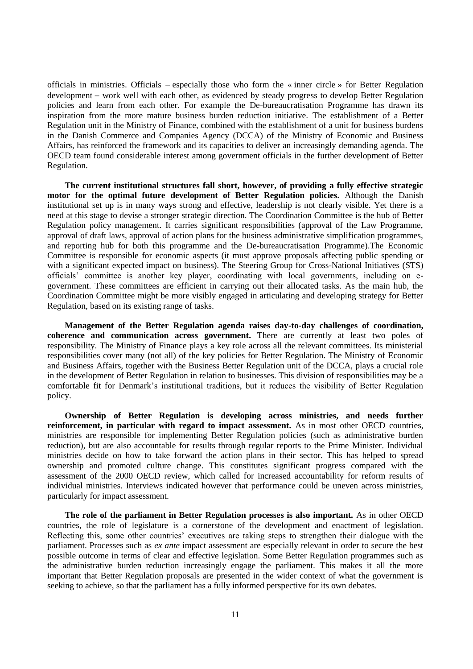officials in ministries. Officials especially those who form the « inner circle » for Better Regulation development – work well with each other, as evidenced by steady progress to develop Better Regulation policies and learn from each other. For example the De-bureaucratisation Programme has drawn its inspiration from the more mature business burden reduction initiative. The establishment of a Better Regulation unit in the Ministry of Finance, combined with the establishment of a unit for business burdens in the Danish Commerce and Companies Agency (DCCA) of the Ministry of Economic and Business Affairs, has reinforced the framework and its capacities to deliver an increasingly demanding agenda. The OECD team found considerable interest among government officials in the further development of Better Regulation.

**The current institutional structures fall short, however, of providing a fully effective strategic motor for the optimal future development of Better Regulation policies.** Although the Danish institutional set up is in many ways strong and effective, leadership is not clearly visible. Yet there is a need at this stage to devise a stronger strategic direction. The Coordination Committee is the hub of Better Regulation policy management. It carries significant responsibilities (approval of the Law Programme, approval of draft laws, approval of action plans for the business administrative simplification programmes, and reporting hub for both this programme and the De-bureaucratisation Programme).The Economic Committee is responsible for economic aspects (it must approve proposals affecting public spending or with a significant expected impact on business). The Steering Group for Cross-National Initiatives (STS) officials' committee is another key player, coordinating with local governments, including on egovernment. These committees are efficient in carrying out their allocated tasks. As the main hub, the Coordination Committee might be more visibly engaged in articulating and developing strategy for Better Regulation, based on its existing range of tasks.

**Management of the Better Regulation agenda raises day-to-day challenges of coordination, coherence and communication across government.** There are currently at least two poles of responsibility. The Ministry of Finance plays a key role across all the relevant committees. Its ministerial responsibilities cover many (not all) of the key policies for Better Regulation. The Ministry of Economic and Business Affairs, together with the Business Better Regulation unit of the DCCA, plays a crucial role in the development of Better Regulation in relation to businesses. This division of responsibilities may be a comfortable fit for Denmark's institutional traditions, but it reduces the visibility of Better Regulation policy.

**Ownership of Better Regulation is developing across ministries, and needs further reinforcement, in particular with regard to impact assessment.** As in most other OECD countries, ministries are responsible for implementing Better Regulation policies (such as administrative burden reduction), but are also accountable for results through regular reports to the Prime Minister. Individual ministries decide on how to take forward the action plans in their sector. This has helped to spread ownership and promoted culture change. This constitutes significant progress compared with the assessment of the 2000 OECD review, which called for increased accountability for reform results of individual ministries. Interviews indicated however that performance could be uneven across ministries, particularly for impact assessment.

**The role of the parliament in Better Regulation processes is also important.** As in other OECD countries, the role of legislature is a cornerstone of the development and enactment of legislation. Reflecting this, some other countries' executives are taking steps to strengthen their dialogue with the parliament. Processes such as *ex ante* impact assessment are especially relevant in order to secure the best possible outcome in terms of clear and effective legislation. Some Better Regulation programmes such as the administrative burden reduction increasingly engage the parliament. This makes it all the more important that Better Regulation proposals are presented in the wider context of what the government is seeking to achieve, so that the parliament has a fully informed perspective for its own debates.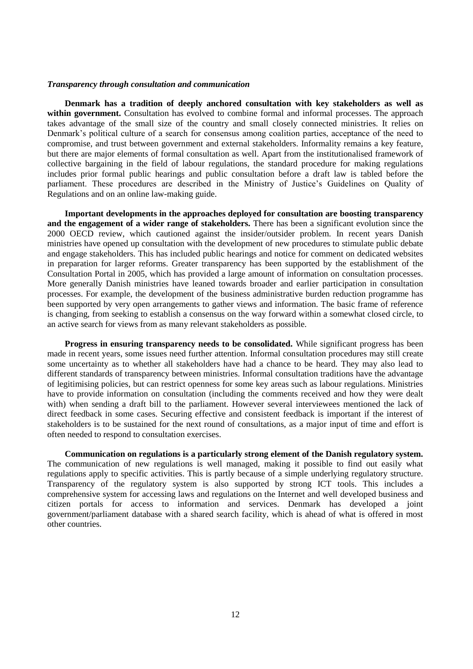### *Transparency through consultation and communication*

**Denmark has a tradition of deeply anchored consultation with key stakeholders as well as within government.** Consultation has evolved to combine formal and informal processes. The approach takes advantage of the small size of the country and small closely connected ministries. It relies on Denmark's political culture of a search for consensus among coalition parties, acceptance of the need to compromise, and trust between government and external stakeholders. Informality remains a key feature, but there are major elements of formal consultation as well. Apart from the institutionalised framework of collective bargaining in the field of labour regulations, the standard procedure for making regulations includes prior formal public hearings and public consultation before a draft law is tabled before the parliament. These procedures are described in the Ministry of Justice's Guidelines on Quality of Regulations and on an online law-making guide.

**Important developments in the approaches deployed for consultation are boosting transparency and the engagement of a wider range of stakeholders.** There has been a significant evolution since the 2000 OECD review, which cautioned against the insider/outsider problem. In recent years Danish ministries have opened up consultation with the development of new procedures to stimulate public debate and engage stakeholders. This has included public hearings and notice for comment on dedicated websites in preparation for larger reforms. Greater transparency has been supported by the establishment of the Consultation Portal in 2005, which has provided a large amount of information on consultation processes. More generally Danish ministries have leaned towards broader and earlier participation in consultation processes. For example, the development of the business administrative burden reduction programme has been supported by very open arrangements to gather views and information. The basic frame of reference is changing, from seeking to establish a consensus on the way forward within a somewhat closed circle, to an active search for views from as many relevant stakeholders as possible.

**Progress in ensuring transparency needs to be consolidated.** While significant progress has been made in recent years, some issues need further attention. Informal consultation procedures may still create some uncertainty as to whether all stakeholders have had a chance to be heard. They may also lead to different standards of transparency between ministries. Informal consultation traditions have the advantage of legitimising policies, but can restrict openness for some key areas such as labour regulations. Ministries have to provide information on consultation (including the comments received and how they were dealt with) when sending a draft bill to the parliament. However several interviewees mentioned the lack of direct feedback in some cases. Securing effective and consistent feedback is important if the interest of stakeholders is to be sustained for the next round of consultations, as a major input of time and effort is often needed to respond to consultation exercises.

**Communication on regulations is a particularly strong element of the Danish regulatory system.**  The communication of new regulations is well managed, making it possible to find out easily what regulations apply to specific activities. This is partly because of a simple underlying regulatory structure. Transparency of the regulatory system is also supported by strong ICT tools. This includes a comprehensive system for accessing laws and regulations on the Internet and well developed business and citizen portals for access to information and services. Denmark has developed a joint government/parliament database with a shared search facility, which is ahead of what is offered in most other countries.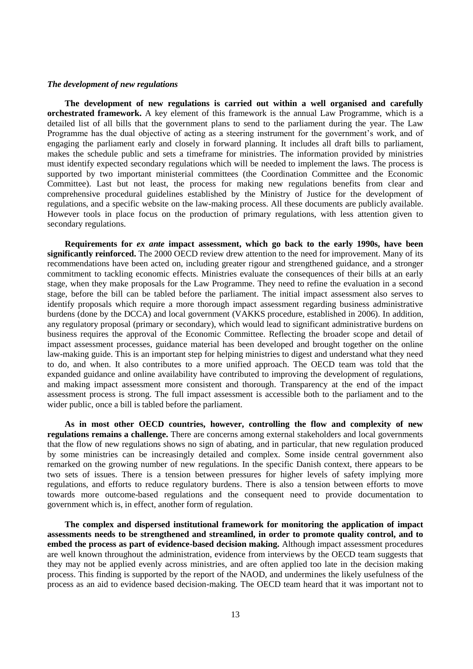### *The development of new regulations*

**The development of new regulations is carried out within a well organised and carefully orchestrated framework.** A key element of this framework is the annual Law Programme, which is a detailed list of all bills that the government plans to send to the parliament during the year. The Law Programme has the dual objective of acting as a steering instrument for the government's work, and of engaging the parliament early and closely in forward planning. It includes all draft bills to parliament, makes the schedule public and sets a timeframe for ministries. The information provided by ministries must identify expected secondary regulations which will be needed to implement the laws. The process is supported by two important ministerial committees (the Coordination Committee and the Economic Committee). Last but not least, the process for making new regulations benefits from clear and comprehensive procedural guidelines established by the Ministry of Justice for the development of regulations, and a specific website on the law-making process. All these documents are publicly available. However tools in place focus on the production of primary regulations, with less attention given to secondary regulations.

**Requirements for** *ex ante* **impact assessment, which go back to the early 1990s, have been significantly reinforced.** The 2000 OECD review drew attention to the need for improvement. Many of its recommendations have been acted on, including greater rigour and strengthened guidance, and a stronger commitment to tackling economic effects. Ministries evaluate the consequences of their bills at an early stage, when they make proposals for the Law Programme. They need to refine the evaluation in a second stage, before the bill can be tabled before the parliament. The initial impact assessment also serves to identify proposals which require a more thorough impact assessment regarding business administrative burdens (done by the DCCA) and local government (VAKKS procedure, established in 2006). In addition, any regulatory proposal (primary or secondary), which would lead to significant administrative burdens on business requires the approval of the Economic Committee. Reflecting the broader scope and detail of impact assessment processes, guidance material has been developed and brought together on the online law-making guide. This is an important step for helping ministries to digest and understand what they need to do, and when. It also contributes to a more unified approach. The OECD team was told that the expanded guidance and online availability have contributed to improving the development of regulations, and making impact assessment more consistent and thorough. Transparency at the end of the impact assessment process is strong. The full impact assessment is accessible both to the parliament and to the wider public, once a bill is tabled before the parliament.

**As in most other OECD countries, however, controlling the flow and complexity of new regulations remains a challenge.** There are concerns among external stakeholders and local governments that the flow of new regulations shows no sign of abating, and in particular, that new regulation produced by some ministries can be increasingly detailed and complex. Some inside central government also remarked on the growing number of new regulations. In the specific Danish context, there appears to be two sets of issues. There is a tension between pressures for higher levels of safety implying more regulations, and efforts to reduce regulatory burdens. There is also a tension between efforts to move towards more outcome-based regulations and the consequent need to provide documentation to government which is, in effect, another form of regulation.

**The complex and dispersed institutional framework for monitoring the application of impact assessments needs to be strengthened and streamlined, in order to promote quality control, and to embed the process as part of evidence-based decision making.** Although impact assessment procedures are well known throughout the administration, evidence from interviews by the OECD team suggests that they may not be applied evenly across ministries, and are often applied too late in the decision making process. This finding is supported by the report of the NAOD, and undermines the likely usefulness of the process as an aid to evidence based decision-making. The OECD team heard that it was important not to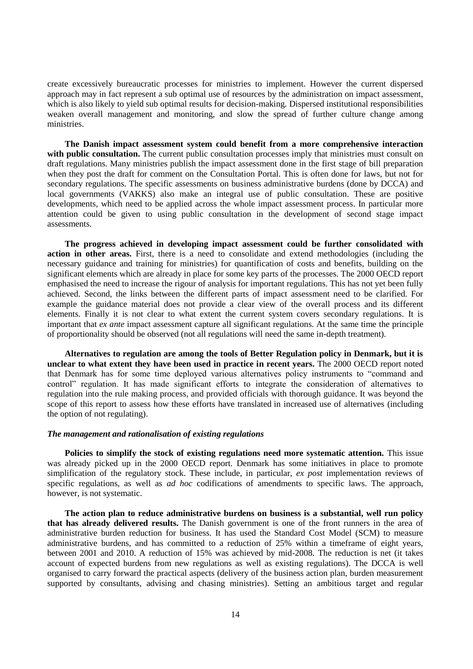create excessively bureaucratic processes for ministries to implement. However the current dispersed approach may in fact represent a sub optimal use of resources by the administration on impact assessment, which is also likely to yield sub optimal results for decision-making. Dispersed institutional responsibilities weaken overall management and monitoring, and slow the spread of further culture change among ministries.

**The Danish impact assessment system could benefit from a more comprehensive interaction**  with public consultation. The current public consultation processes imply that ministries must consult on draft regulations. Many ministries publish the impact assessment done in the first stage of bill preparation when they post the draft for comment on the Consultation Portal. This is often done for laws, but not for secondary regulations. The specific assessments on business administrative burdens (done by DCCA) and local governments (VAKKS) also make an integral use of public consultation. These are positive developments, which need to be applied across the whole impact assessment process. In particular more attention could be given to using public consultation in the development of second stage impact assessments.

**The progress achieved in developing impact assessment could be further consolidated with action in other areas.** First, there is a need to consolidate and extend methodologies (including the necessary guidance and training for ministries) for quantification of costs and benefits, building on the significant elements which are already in place for some key parts of the processes. The 2000 OECD report emphasised the need to increase the rigour of analysis for important regulations. This has not yet been fully achieved. Second, the links between the different parts of impact assessment need to be clarified. For example the guidance material does not provide a clear view of the overall process and its different elements. Finally it is not clear to what extent the current system covers secondary regulations. It is important that *ex ante* impact assessment capture all significant regulations. At the same time the principle of proportionality should be observed (not all regulations will need the same in-depth treatment).

**Alternatives to regulation are among the tools of Better Regulation policy in Denmark, but it is unclear to what extent they have been used in practice in recent years.** The 2000 OECD report noted that Denmark has for some time deployed various alternatives policy instruments to "command and control" regulation. It has made significant efforts to integrate the consideration of alternatives to regulation into the rule making process, and provided officials with thorough guidance. It was beyond the scope of this report to assess how these efforts have translated in increased use of alternatives (including the option of not regulating).

## *The management and rationalisation of existing regulations*

**Policies to simplify the stock of existing regulations need more systematic attention.** This issue was already picked up in the 2000 OECD report. Denmark has some initiatives in place to promote simplification of the regulatory stock. These include, in particular, *ex post* implementation reviews of specific regulations, as well as *ad hoc* codifications of amendments to specific laws. The approach, however, is not systematic.

**The action plan to reduce administrative burdens on business is a substantial, well run policy that has already delivered results.** The Danish government is one of the front runners in the area of administrative burden reduction for business. It has used the Standard Cost Model (SCM) to measure administrative burdens, and has committed to a reduction of 25% within a timeframe of eight years, between 2001 and 2010. A reduction of 15% was achieved by mid-2008. The reduction is net (it takes account of expected burdens from new regulations as well as existing regulations). The DCCA is well organised to carry forward the practical aspects (delivery of the business action plan, burden measurement supported by consultants, advising and chasing ministries). Setting an ambitious target and regular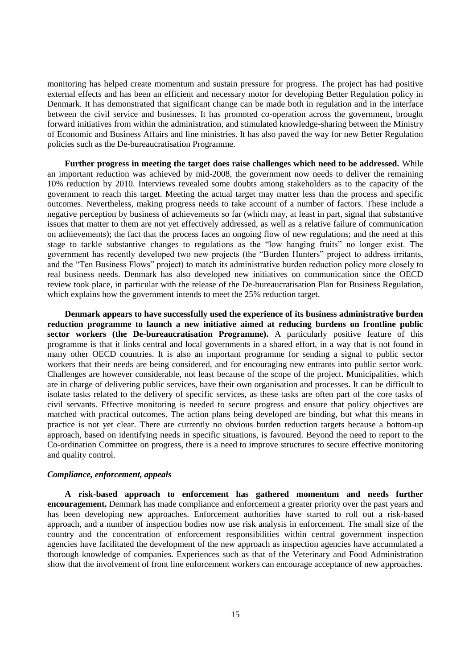monitoring has helped create momentum and sustain pressure for progress. The project has had positive external effects and has been an efficient and necessary motor for developing Better Regulation policy in Denmark. It has demonstrated that significant change can be made both in regulation and in the interface between the civil service and businesses. It has promoted co-operation across the government, brought forward initiatives from within the administration, and stimulated knowledge-sharing between the Ministry of Economic and Business Affairs and line ministries. It has also paved the way for new Better Regulation policies such as the De-bureaucratisation Programme.

**Further progress in meeting the target does raise challenges which need to be addressed.** While an important reduction was achieved by mid-2008, the government now needs to deliver the remaining 10% reduction by 2010. Interviews revealed some doubts among stakeholders as to the capacity of the government to reach this target. Meeting the actual target may matter less than the process and specific outcomes. Nevertheless, making progress needs to take account of a number of factors. These include a negative perception by business of achievements so far (which may, at least in part, signal that substantive issues that matter to them are not yet effectively addressed, as well as a relative failure of communication on achievements); the fact that the process faces an ongoing flow of new regulations; and the need at this stage to tackle substantive changes to regulations as the "low hanging fruits" no longer exist. The government has recently developed two new projects (the "Burden Hunters" project to address irritants, and the "Ten Business Flows" project) to match its administrative burden reduction policy more closely to real business needs. Denmark has also developed new initiatives on communication since the OECD review took place, in particular with the release of the De-bureaucratisation Plan for Business Regulation, which explains how the government intends to meet the 25% reduction target.

**Denmark appears to have successfully used the experience of its business administrative burden reduction programme to launch a new initiative aimed at reducing burdens on frontline public sector workers (the De-bureaucratisation Programme).** A particularly positive feature of this programme is that it links central and local governments in a shared effort, in a way that is not found in many other OECD countries. It is also an important programme for sending a signal to public sector workers that their needs are being considered, and for encouraging new entrants into public sector work. Challenges are however considerable, not least because of the scope of the project. Municipalities, which are in charge of delivering public services, have their own organisation and processes. It can be difficult to isolate tasks related to the delivery of specific services, as these tasks are often part of the core tasks of civil servants. Effective monitoring is needed to secure progress and ensure that policy objectives are matched with practical outcomes. The action plans being developed are binding, but what this means in practice is not yet clear. There are currently no obvious burden reduction targets because a bottom-up approach, based on identifying needs in specific situations, is favoured. Beyond the need to report to the Co-ordination Committee on progress, there is a need to improve structures to secure effective monitoring and quality control.

# *Compliance, enforcement, appeals*

**A risk-based approach to enforcement has gathered momentum and needs further encouragement.** Denmark has made compliance and enforcement a greater priority over the past years and has been developing new approaches. Enforcement authorities have started to roll out a risk-based approach, and a number of inspection bodies now use risk analysis in enforcement. The small size of the country and the concentration of enforcement responsibilities within central government inspection agencies have facilitated the development of the new approach as inspection agencies have accumulated a thorough knowledge of companies. Experiences such as that of the Veterinary and Food Administration show that the involvement of front line enforcement workers can encourage acceptance of new approaches.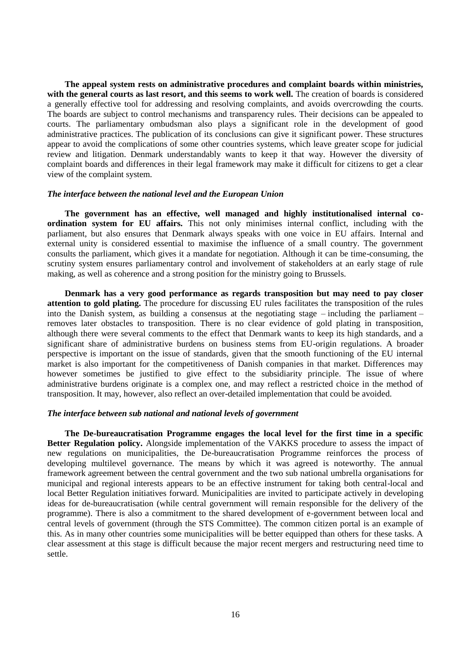**The appeal system rests on administrative procedures and complaint boards within ministries, with the general courts as last resort, and this seems to work well.** The creation of boards is considered a generally effective tool for addressing and resolving complaints, and avoids overcrowding the courts. The boards are subject to control mechanisms and transparency rules. Their decisions can be appealed to courts. The parliamentary ombudsman also plays a significant role in the development of good administrative practices. The publication of its conclusions can give it significant power. These structures appear to avoid the complications of some other countries systems, which leave greater scope for judicial review and litigation. Denmark understandably wants to keep it that way. However the diversity of complaint boards and differences in their legal framework may make it difficult for citizens to get a clear view of the complaint system.

#### *The interface between the national level and the European Union*

**The government has an effective, well managed and highly institutionalised internal coordination system for EU affairs.** This not only minimises internal conflict, including with the parliament, but also ensures that Denmark always speaks with one voice in EU affairs. Internal and external unity is considered essential to maximise the influence of a small country. The government consults the parliament, which gives it a mandate for negotiation. Although it can be time-consuming, the scrutiny system ensures parliamentary control and involvement of stakeholders at an early stage of rule making, as well as coherence and a strong position for the ministry going to Brussels.

**Denmark has a very good performance as regards transposition but may need to pay closer attention to gold plating.** The procedure for discussing EU rules facilitates the transposition of the rules into the Danish system, as building a consensus at the negotiating stage – including the parliament – removes later obstacles to transposition. There is no clear evidence of gold plating in transposition, although there were several comments to the effect that Denmark wants to keep its high standards, and a significant share of administrative burdens on business stems from EU-origin regulations. A broader perspective is important on the issue of standards, given that the smooth functioning of the EU internal market is also important for the competitiveness of Danish companies in that market. Differences may however sometimes be justified to give effect to the subsidiarity principle. The issue of where administrative burdens originate is a complex one, and may reflect a restricted choice in the method of transposition. It may, however, also reflect an over-detailed implementation that could be avoided.

## *The interface between sub national and national levels of government*

**The De-bureaucratisation Programme engages the local level for the first time in a specific Better Regulation policy.** Alongside implementation of the VAKKS procedure to assess the impact of new regulations on municipalities, the De-bureaucratisation Programme reinforces the process of developing multilevel governance. The means by which it was agreed is noteworthy. The annual framework agreement between the central government and the two sub national umbrella organisations for municipal and regional interests appears to be an effective instrument for taking both central-local and local Better Regulation initiatives forward. Municipalities are invited to participate actively in developing ideas for de-bureaucratisation (while central government will remain responsible for the delivery of the programme). There is also a commitment to the shared development of e-government between local and central levels of government (through the STS Committee). The common citizen portal is an example of this. As in many other countries some municipalities will be better equipped than others for these tasks. A clear assessment at this stage is difficult because the major recent mergers and restructuring need time to settle.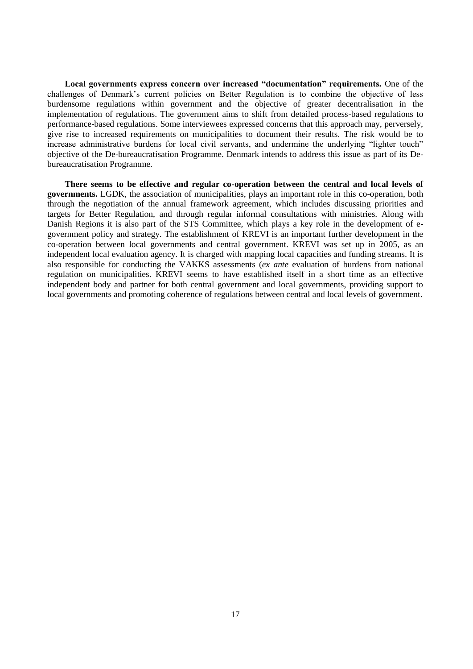**Local governments express concern over increased "documentation" requirements.** One of the challenges of Denmark's current policies on Better Regulation is to combine the objective of less burdensome regulations within government and the objective of greater decentralisation in the implementation of regulations. The government aims to shift from detailed process-based regulations to performance-based regulations. Some interviewees expressed concerns that this approach may, perversely, give rise to increased requirements on municipalities to document their results. The risk would be to increase administrative burdens for local civil servants, and undermine the underlying "lighter touch" objective of the De-bureaucratisation Programme. Denmark intends to address this issue as part of its Debureaucratisation Programme.

**There seems to be effective and regular co-operation between the central and local levels of governments.** LGDK, the association of municipalities, plays an important role in this co-operation, both through the negotiation of the annual framework agreement, which includes discussing priorities and targets for Better Regulation, and through regular informal consultations with ministries. Along with Danish Regions it is also part of the STS Committee, which plays a key role in the development of egovernment policy and strategy. The establishment of KREVI is an important further development in the co-operation between local governments and central government. KREVI was set up in 2005, as an independent local evaluation agency. It is charged with mapping local capacities and funding streams. It is also responsible for conducting the VAKKS assessments (*ex ante* evaluation of burdens from national regulation on municipalities. KREVI seems to have established itself in a short time as an effective independent body and partner for both central government and local governments, providing support to local governments and promoting coherence of regulations between central and local levels of government.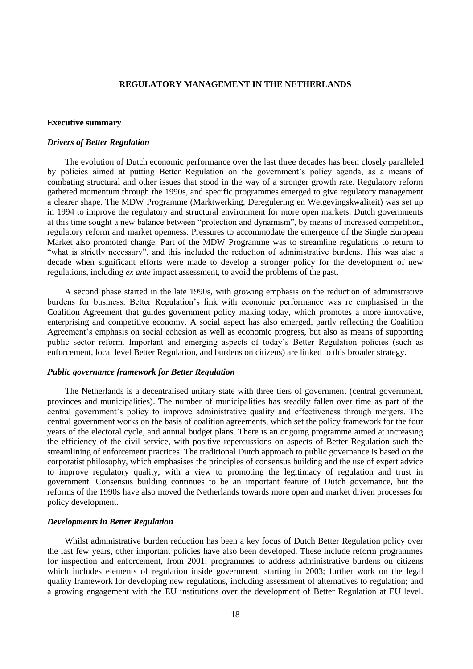# **REGULATORY MANAGEMENT IN THE NETHERLANDS**

#### <span id="page-17-1"></span><span id="page-17-0"></span>**Executive summary**

## *Drivers of Better Regulation*

The evolution of Dutch economic performance over the last three decades has been closely paralleled by policies aimed at putting Better Regulation on the government's policy agenda, as a means of combating structural and other issues that stood in the way of a stronger growth rate. Regulatory reform gathered momentum through the 1990s, and specific programmes emerged to give regulatory management a clearer shape. The MDW Programme (Marktwerking, Deregulering en Wetgevingskwaliteit) was set up in 1994 to improve the regulatory and structural environment for more open markets. Dutch governments at this time sought a new balance between "protection and dynamism", by means of increased competition, regulatory reform and market openness. Pressures to accommodate the emergence of the Single European Market also promoted change. Part of the MDW Programme was to streamline regulations to return to "what is strictly necessary", and this included the reduction of administrative burdens. This was also a decade when significant efforts were made to develop a stronger policy for the development of new regulations, including *ex ante* impact assessment, to avoid the problems of the past.

A second phase started in the late 1990s, with growing emphasis on the reduction of administrative burdens for business. Better Regulation's link with economic performance was re emphasised in the Coalition Agreement that guides government policy making today, which promotes a more innovative, enterprising and competitive economy. A social aspect has also emerged, partly reflecting the Coalition Agreement's emphasis on social cohesion as well as economic progress, but also as means of supporting public sector reform. Important and emerging aspects of today's Better Regulation policies (such as enforcement, local level Better Regulation, and burdens on citizens) are linked to this broader strategy.

#### *Public governance framework for Better Regulation*

The Netherlands is a decentralised unitary state with three tiers of government (central government, provinces and municipalities). The number of municipalities has steadily fallen over time as part of the central government's policy to improve administrative quality and effectiveness through mergers. The central government works on the basis of coalition agreements, which set the policy framework for the four years of the electoral cycle, and annual budget plans. There is an ongoing programme aimed at increasing the efficiency of the civil service, with positive repercussions on aspects of Better Regulation such the streamlining of enforcement practices. The traditional Dutch approach to public governance is based on the corporatist philosophy, which emphasises the principles of consensus building and the use of expert advice to improve regulatory quality, with a view to promoting the legitimacy of regulation and trust in government. Consensus building continues to be an important feature of Dutch governance, but the reforms of the 1990s have also moved the Netherlands towards more open and market driven processes for policy development.

#### *Developments in Better Regulation*

Whilst administrative burden reduction has been a key focus of Dutch Better Regulation policy over the last few years, other important policies have also been developed. These include reform programmes for inspection and enforcement, from 2001; programmes to address administrative burdens on citizens which includes elements of regulation inside government, starting in 2003; further work on the legal quality framework for developing new regulations, including assessment of alternatives to regulation; and a growing engagement with the EU institutions over the development of Better Regulation at EU level.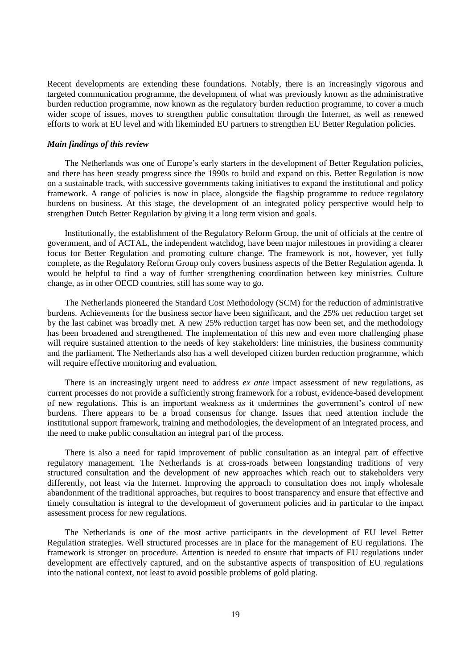Recent developments are extending these foundations. Notably, there is an increasingly vigorous and targeted communication programme, the development of what was previously known as the administrative burden reduction programme, now known as the regulatory burden reduction programme, to cover a much wider scope of issues, moves to strengthen public consultation through the Internet, as well as renewed efforts to work at EU level and with likeminded EU partners to strengthen EU Better Regulation policies.

#### *Main findings of this review*

The Netherlands was one of Europe's early starters in the development of Better Regulation policies, and there has been steady progress since the 1990s to build and expand on this. Better Regulation is now on a sustainable track, with successive governments taking initiatives to expand the institutional and policy framework. A range of policies is now in place, alongside the flagship programme to reduce regulatory burdens on business. At this stage, the development of an integrated policy perspective would help to strengthen Dutch Better Regulation by giving it a long term vision and goals.

Institutionally, the establishment of the Regulatory Reform Group, the unit of officials at the centre of government, and of ACTAL, the independent watchdog, have been major milestones in providing a clearer focus for Better Regulation and promoting culture change. The framework is not, however, yet fully complete, as the Regulatory Reform Group only covers business aspects of the Better Regulation agenda. It would be helpful to find a way of further strengthening coordination between key ministries. Culture change, as in other OECD countries, still has some way to go.

The Netherlands pioneered the Standard Cost Methodology (SCM) for the reduction of administrative burdens. Achievements for the business sector have been significant, and the 25% net reduction target set by the last cabinet was broadly met. A new 25% reduction target has now been set, and the methodology has been broadened and strengthened. The implementation of this new and even more challenging phase will require sustained attention to the needs of key stakeholders: line ministries, the business community and the parliament. The Netherlands also has a well developed citizen burden reduction programme, which will require effective monitoring and evaluation.

There is an increasingly urgent need to address *ex ante* impact assessment of new regulations, as current processes do not provide a sufficiently strong framework for a robust, evidence-based development of new regulations. This is an important weakness as it undermines the government's control of new burdens. There appears to be a broad consensus for change. Issues that need attention include the institutional support framework, training and methodologies, the development of an integrated process, and the need to make public consultation an integral part of the process.

There is also a need for rapid improvement of public consultation as an integral part of effective regulatory management. The Netherlands is at cross-roads between longstanding traditions of very structured consultation and the development of new approaches which reach out to stakeholders very differently, not least via the Internet. Improving the approach to consultation does not imply wholesale abandonment of the traditional approaches, but requires to boost transparency and ensure that effective and timely consultation is integral to the development of government policies and in particular to the impact assessment process for new regulations.

The Netherlands is one of the most active participants in the development of EU level Better Regulation strategies. Well structured processes are in place for the management of EU regulations. The framework is stronger on procedure. Attention is needed to ensure that impacts of EU regulations under development are effectively captured, and on the substantive aspects of transposition of EU regulations into the national context, not least to avoid possible problems of gold plating.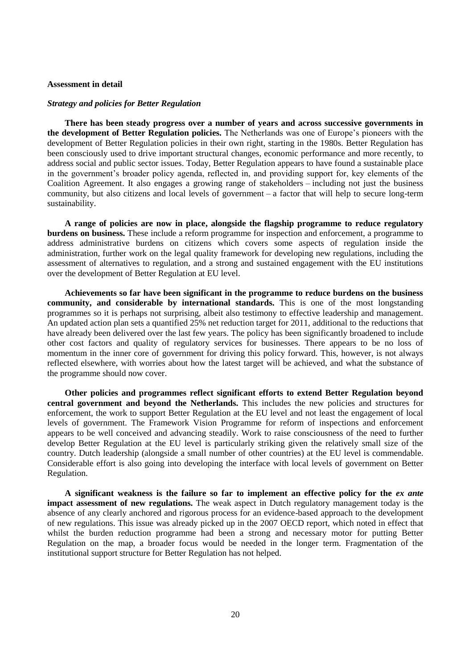### <span id="page-19-0"></span>**Assessment in detail**

#### *Strategy and policies for Better Regulation*

**There has been steady progress over a number of years and across successive governments in the development of Better Regulation policies.** The Netherlands was one of Europe's pioneers with the development of Better Regulation policies in their own right, starting in the 1980s. Better Regulation has been consciously used to drive important structural changes, economic performance and more recently, to address social and public sector issues. Today, Better Regulation appears to have found a sustainable place in the government's broader policy agenda, reflected in, and providing support for, key elements of the Coalition Agreement. It also engages a growing range of stakeholders – including not just the business community, but also citizens and local levels of government – a factor that will help to secure long-term sustainability.

**A range of policies are now in place, alongside the flagship programme to reduce regulatory burdens on business.** These include a reform programme for inspection and enforcement, a programme to address administrative burdens on citizens which covers some aspects of regulation inside the administration, further work on the legal quality framework for developing new regulations, including the assessment of alternatives to regulation, and a strong and sustained engagement with the EU institutions over the development of Better Regulation at EU level.

**Achievements so far have been significant in the programme to reduce burdens on the business community, and considerable by international standards.** This is one of the most longstanding programmes so it is perhaps not surprising, albeit also testimony to effective leadership and management. An updated action plan sets a quantified 25% net reduction target for 2011, additional to the reductions that have already been delivered over the last few years. The policy has been significantly broadened to include other cost factors and quality of regulatory services for businesses. There appears to be no loss of momentum in the inner core of government for driving this policy forward. This, however, is not always reflected elsewhere, with worries about how the latest target will be achieved, and what the substance of the programme should now cover.

**Other policies and programmes reflect significant efforts to extend Better Regulation beyond central government and beyond the Netherlands.** This includes the new policies and structures for enforcement, the work to support Better Regulation at the EU level and not least the engagement of local levels of government. The Framework Vision Programme for reform of inspections and enforcement appears to be well conceived and advancing steadily. Work to raise consciousness of the need to further develop Better Regulation at the EU level is particularly striking given the relatively small size of the country. Dutch leadership (alongside a small number of other countries) at the EU level is commendable. Considerable effort is also going into developing the interface with local levels of government on Better Regulation.

**A significant weakness is the failure so far to implement an effective policy for the** *ex ante* **impact assessment of new regulations.** The weak aspect in Dutch regulatory management today is the absence of any clearly anchored and rigorous process for an evidence-based approach to the development of new regulations. This issue was already picked up in the 2007 OECD report, which noted in effect that whilst the burden reduction programme had been a strong and necessary motor for putting Better Regulation on the map, a broader focus would be needed in the longer term. Fragmentation of the institutional support structure for Better Regulation has not helped.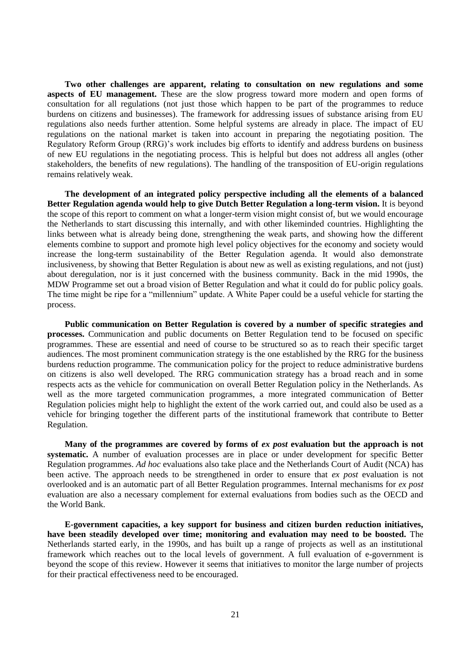**Two other challenges are apparent, relating to consultation on new regulations and some aspects of EU management.** These are the slow progress toward more modern and open forms of consultation for all regulations (not just those which happen to be part of the programmes to reduce burdens on citizens and businesses). The framework for addressing issues of substance arising from EU regulations also needs further attention. Some helpful systems are already in place. The impact of EU regulations on the national market is taken into account in preparing the negotiating position. The Regulatory Reform Group (RRG)'s work includes big efforts to identify and address burdens on business of new EU regulations in the negotiating process. This is helpful but does not address all angles (other stakeholders, the benefits of new regulations). The handling of the transposition of EU-origin regulations remains relatively weak.

**The development of an integrated policy perspective including all the elements of a balanced Better Regulation agenda would help to give Dutch Better Regulation a long-term vision.** It is beyond the scope of this report to comment on what a longer-term vision might consist of, but we would encourage the Netherlands to start discussing this internally, and with other likeminded countries. Highlighting the links between what is already being done, strengthening the weak parts, and showing how the different elements combine to support and promote high level policy objectives for the economy and society would increase the long-term sustainability of the Better Regulation agenda. It would also demonstrate inclusiveness, by showing that Better Regulation is about new as well as existing regulations, and not (just) about deregulation, nor is it just concerned with the business community. Back in the mid 1990s, the MDW Programme set out a broad vision of Better Regulation and what it could do for public policy goals. The time might be ripe for a "millennium" update. A White Paper could be a useful vehicle for starting the process.

**Public communication on Better Regulation is covered by a number of specific strategies and processes.** Communication and public documents on Better Regulation tend to be focused on specific programmes. These are essential and need of course to be structured so as to reach their specific target audiences. The most prominent communication strategy is the one established by the RRG for the business burdens reduction programme. The communication policy for the project to reduce administrative burdens on citizens is also well developed. The RRG communication strategy has a broad reach and in some respects acts as the vehicle for communication on overall Better Regulation policy in the Netherlands. As well as the more targeted communication programmes, a more integrated communication of Better Regulation policies might help to highlight the extent of the work carried out, and could also be used as a vehicle for bringing together the different parts of the institutional framework that contribute to Better Regulation.

Many of the programmes are covered by forms of *ex post* evaluation but the approach is not **systematic.** A number of evaluation processes are in place or under development for specific Better Regulation programmes. *Ad hoc* evaluations also take place and the Netherlands Court of Audit (NCA) has been active. The approach needs to be strengthened in order to ensure that *ex post* evaluation is not overlooked and is an automatic part of all Better Regulation programmes. Internal mechanisms for *ex post* evaluation are also a necessary complement for external evaluations from bodies such as the OECD and the World Bank.

**E-government capacities, a key support for business and citizen burden reduction initiatives, have been steadily developed over time; monitoring and evaluation may need to be boosted.** The Netherlands started early, in the 1990s, and has built up a range of projects as well as an institutional framework which reaches out to the local levels of government. A full evaluation of e-government is beyond the scope of this review. However it seems that initiatives to monitor the large number of projects for their practical effectiveness need to be encouraged.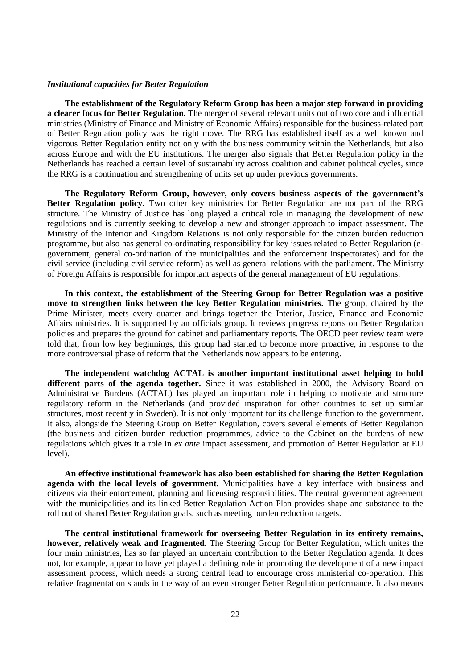## *Institutional capacities for Better Regulation*

**The establishment of the Regulatory Reform Group has been a major step forward in providing a clearer focus for Better Regulation.** The merger of several relevant units out of two core and influential ministries (Ministry of Finance and Ministry of Economic Affairs) responsible for the business-related part of Better Regulation policy was the right move. The RRG has established itself as a well known and vigorous Better Regulation entity not only with the business community within the Netherlands, but also across Europe and with the EU institutions. The merger also signals that Better Regulation policy in the Netherlands has reached a certain level of sustainability across coalition and cabinet political cycles, since the RRG is a continuation and strengthening of units set up under previous governments.

**The Regulatory Reform Group, however, only covers business aspects of the government's Better Regulation policy.** Two other key ministries for Better Regulation are not part of the RRG structure. The Ministry of Justice has long played a critical role in managing the development of new regulations and is currently seeking to develop a new and stronger approach to impact assessment. The Ministry of the Interior and Kingdom Relations is not only responsible for the citizen burden reduction programme, but also has general co-ordinating responsibility for key issues related to Better Regulation (egovernment, general co-ordination of the municipalities and the enforcement inspectorates) and for the civil service (including civil service reform) as well as general relations with the parliament. The Ministry of Foreign Affairs is responsible for important aspects of the general management of EU regulations.

**In this context, the establishment of the Steering Group for Better Regulation was a positive move to strengthen links between the key Better Regulation ministries.** The group, chaired by the Prime Minister, meets every quarter and brings together the Interior, Justice, Finance and Economic Affairs ministries. It is supported by an officials group. It reviews progress reports on Better Regulation policies and prepares the ground for cabinet and parliamentary reports. The OECD peer review team were told that, from low key beginnings, this group had started to become more proactive, in response to the more controversial phase of reform that the Netherlands now appears to be entering.

**The independent watchdog ACTAL is another important institutional asset helping to hold different parts of the agenda together.** Since it was established in 2000, the Advisory Board on Administrative Burdens (ACTAL) has played an important role in helping to motivate and structure regulatory reform in the Netherlands (and provided inspiration for other countries to set up similar structures, most recently in Sweden). It is not only important for its challenge function to the government. It also, alongside the Steering Group on Better Regulation, covers several elements of Better Regulation (the business and citizen burden reduction programmes, advice to the Cabinet on the burdens of new regulations which gives it a role in *ex ante* impact assessment, and promotion of Better Regulation at EU level).

**An effective institutional framework has also been established for sharing the Better Regulation agenda with the local levels of government.** Municipalities have a key interface with business and citizens via their enforcement, planning and licensing responsibilities. The central government agreement with the municipalities and its linked Better Regulation Action Plan provides shape and substance to the roll out of shared Better Regulation goals, such as meeting burden reduction targets.

**The central institutional framework for overseeing Better Regulation in its entirety remains, however, relatively weak and fragmented.** The Steering Group for Better Regulation, which unites the four main ministries, has so far played an uncertain contribution to the Better Regulation agenda. It does not, for example, appear to have yet played a defining role in promoting the development of a new impact assessment process, which needs a strong central lead to encourage cross ministerial co-operation. This relative fragmentation stands in the way of an even stronger Better Regulation performance. It also means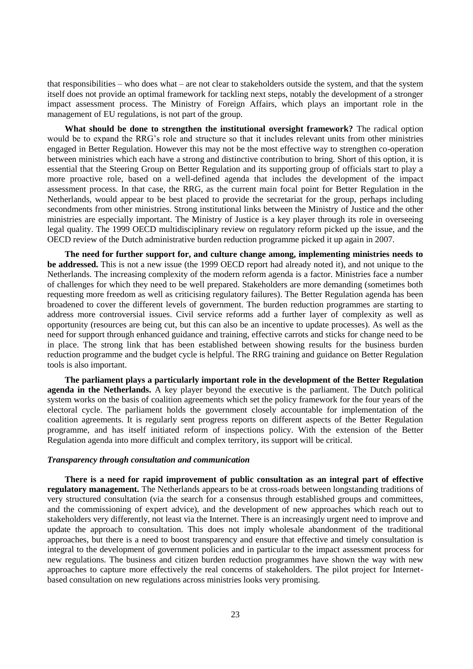that responsibilities – who does what – are not clear to stakeholders outside the system, and that the system itself does not provide an optimal framework for tackling next steps, notably the development of a stronger impact assessment process. The Ministry of Foreign Affairs, which plays an important role in the management of EU regulations, is not part of the group.

**What should be done to strengthen the institutional oversight framework?** The radical option would be to expand the RRG's role and structure so that it includes relevant units from other ministries engaged in Better Regulation. However this may not be the most effective way to strengthen co-operation between ministries which each have a strong and distinctive contribution to bring. Short of this option, it is essential that the Steering Group on Better Regulation and its supporting group of officials start to play a more proactive role, based on a well-defined agenda that includes the development of the impact assessment process. In that case, the RRG, as the current main focal point for Better Regulation in the Netherlands, would appear to be best placed to provide the secretariat for the group, perhaps including secondments from other ministries. Strong institutional links between the Ministry of Justice and the other ministries are especially important. The Ministry of Justice is a key player through its role in overseeing legal quality. The 1999 OECD multidisciplinary review on regulatory reform picked up the issue, and the OECD review of the Dutch administrative burden reduction programme picked it up again in 2007.

**The need for further support for, and culture change among, implementing ministries needs to be addressed.** This is not a new issue (the 1999 OECD report had already noted it), and not unique to the Netherlands. The increasing complexity of the modern reform agenda is a factor. Ministries face a number of challenges for which they need to be well prepared. Stakeholders are more demanding (sometimes both requesting more freedom as well as criticising regulatory failures). The Better Regulation agenda has been broadened to cover the different levels of government. The burden reduction programmes are starting to address more controversial issues. Civil service reforms add a further layer of complexity as well as opportunity (resources are being cut, but this can also be an incentive to update processes). As well as the need for support through enhanced guidance and training, effective carrots and sticks for change need to be in place. The strong link that has been established between showing results for the business burden reduction programme and the budget cycle is helpful. The RRG training and guidance on Better Regulation tools is also important.

**The parliament plays a particularly important role in the development of the Better Regulation agenda in the Netherlands.** A key player beyond the executive is the parliament. The Dutch political system works on the basis of coalition agreements which set the policy framework for the four years of the electoral cycle. The parliament holds the government closely accountable for implementation of the coalition agreements. It is regularly sent progress reports on different aspects of the Better Regulation programme, and has itself initiated reform of inspections policy. With the extension of the Better Regulation agenda into more difficult and complex territory, its support will be critical.

#### *Transparency through consultation and communication*

**There is a need for rapid improvement of public consultation as an integral part of effective regulatory management.** The Netherlands appears to be at cross-roads between longstanding traditions of very structured consultation (via the search for a consensus through established groups and committees, and the commissioning of expert advice), and the development of new approaches which reach out to stakeholders very differently, not least via the Internet. There is an increasingly urgent need to improve and update the approach to consultation. This does not imply wholesale abandonment of the traditional approaches, but there is a need to boost transparency and ensure that effective and timely consultation is integral to the development of government policies and in particular to the impact assessment process for new regulations. The business and citizen burden reduction programmes have shown the way with new approaches to capture more effectively the real concerns of stakeholders. The pilot project for Internetbased consultation on new regulations across ministries looks very promising.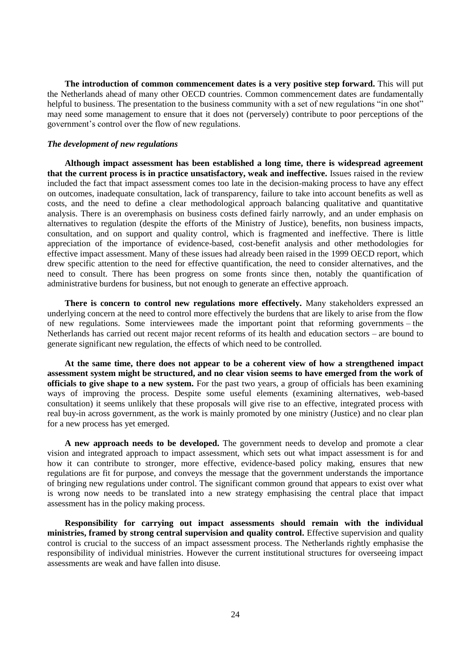**The introduction of common commencement dates is a very positive step forward.** This will put the Netherlands ahead of many other OECD countries. Common commencement dates are fundamentally helpful to business. The presentation to the business community with a set of new regulations "in one shot" may need some management to ensure that it does not (perversely) contribute to poor perceptions of the government's control over the flow of new regulations.

## *The development of new regulations*

**Although impact assessment has been established a long time, there is widespread agreement that the current process is in practice unsatisfactory, weak and ineffective.** Issues raised in the review included the fact that impact assessment comes too late in the decision-making process to have any effect on outcomes, inadequate consultation, lack of transparency, failure to take into account benefits as well as costs, and the need to define a clear methodological approach balancing qualitative and quantitative analysis. There is an overemphasis on business costs defined fairly narrowly, and an under emphasis on alternatives to regulation (despite the efforts of the Ministry of Justice), benefits, non business impacts, consultation, and on support and quality control, which is fragmented and ineffective. There is little appreciation of the importance of evidence-based, cost-benefit analysis and other methodologies for effective impact assessment. Many of these issues had already been raised in the 1999 OECD report, which drew specific attention to the need for effective quantification, the need to consider alternatives, and the need to consult. There has been progress on some fronts since then, notably the quantification of administrative burdens for business, but not enough to generate an effective approach.

**There is concern to control new regulations more effectively.** Many stakeholders expressed an underlying concern at the need to control more effectively the burdens that are likely to arise from the flow of new regulations. Some interviewees made the important point that reforming governments – the Netherlands has carried out recent major recent reforms of its health and education sectors – are bound to generate significant new regulation, the effects of which need to be controlled.

**At the same time, there does not appear to be a coherent view of how a strengthened impact assessment system might be structured, and no clear vision seems to have emerged from the work of officials to give shape to a new system.** For the past two years, a group of officials has been examining ways of improving the process. Despite some useful elements (examining alternatives, web-based consultation) it seems unlikely that these proposals will give rise to an effective, integrated process with real buy-in across government, as the work is mainly promoted by one ministry (Justice) and no clear plan for a new process has yet emerged.

**A new approach needs to be developed.** The government needs to develop and promote a clear vision and integrated approach to impact assessment, which sets out what impact assessment is for and how it can contribute to stronger, more effective, evidence-based policy making, ensures that new regulations are fit for purpose, and conveys the message that the government understands the importance of bringing new regulations under control. The significant common ground that appears to exist over what is wrong now needs to be translated into a new strategy emphasising the central place that impact assessment has in the policy making process.

**Responsibility for carrying out impact assessments should remain with the individual ministries, framed by strong central supervision and quality control.** Effective supervision and quality control is crucial to the success of an impact assessment process. The Netherlands rightly emphasise the responsibility of individual ministries. However the current institutional structures for overseeing impact assessments are weak and have fallen into disuse.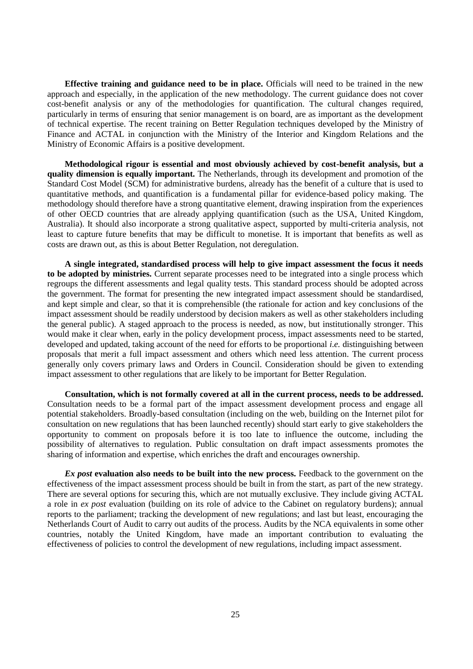**Effective training and guidance need to be in place.** Officials will need to be trained in the new approach and especially, in the application of the new methodology. The current guidance does not cover cost-benefit analysis or any of the methodologies for quantification. The cultural changes required, particularly in terms of ensuring that senior management is on board, are as important as the development of technical expertise. The recent training on Better Regulation techniques developed by the Ministry of Finance and ACTAL in conjunction with the Ministry of the Interior and Kingdom Relations and the Ministry of Economic Affairs is a positive development.

**Methodological rigour is essential and most obviously achieved by cost-benefit analysis, but a quality dimension is equally important.** The Netherlands, through its development and promotion of the Standard Cost Model (SCM) for administrative burdens, already has the benefit of a culture that is used to quantitative methods, and quantification is a fundamental pillar for evidence-based policy making. The methodology should therefore have a strong quantitative element, drawing inspiration from the experiences of other OECD countries that are already applying quantification (such as the USA, United Kingdom, Australia). It should also incorporate a strong qualitative aspect, supported by multi-criteria analysis, not least to capture future benefits that may be difficult to monetise. It is important that benefits as well as costs are drawn out, as this is about Better Regulation, not deregulation.

**A single integrated, standardised process will help to give impact assessment the focus it needs to be adopted by ministries.** Current separate processes need to be integrated into a single process which regroups the different assessments and legal quality tests. This standard process should be adopted across the government. The format for presenting the new integrated impact assessment should be standardised, and kept simple and clear, so that it is comprehensible (the rationale for action and key conclusions of the impact assessment should be readily understood by decision makers as well as other stakeholders including the general public). A staged approach to the process is needed, as now, but institutionally stronger. This would make it clear when, early in the policy development process, impact assessments need to be started, developed and updated, taking account of the need for efforts to be proportional *i.e.* distinguishing between proposals that merit a full impact assessment and others which need less attention. The current process generally only covers primary laws and Orders in Council. Consideration should be given to extending impact assessment to other regulations that are likely to be important for Better Regulation.

**Consultation, which is not formally covered at all in the current process, needs to be addressed.**  Consultation needs to be a formal part of the impact assessment development process and engage all potential stakeholders. Broadly-based consultation (including on the web, building on the Internet pilot for consultation on new regulations that has been launched recently) should start early to give stakeholders the opportunity to comment on proposals before it is too late to influence the outcome, including the possibility of alternatives to regulation. Public consultation on draft impact assessments promotes the sharing of information and expertise, which enriches the draft and encourages ownership.

*Ex post* **evaluation also needs to be built into the new process.** Feedback to the government on the effectiveness of the impact assessment process should be built in from the start, as part of the new strategy. There are several options for securing this, which are not mutually exclusive. They include giving ACTAL a role in *ex post* evaluation (building on its role of advice to the Cabinet on regulatory burdens); annual reports to the parliament; tracking the development of new regulations; and last but least, encouraging the Netherlands Court of Audit to carry out audits of the process. Audits by the NCA equivalents in some other countries, notably the United Kingdom, have made an important contribution to evaluating the effectiveness of policies to control the development of new regulations, including impact assessment.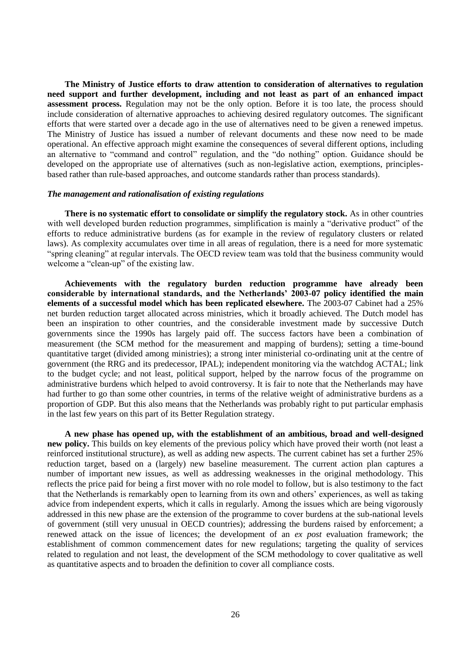**The Ministry of Justice efforts to draw attention to consideration of alternatives to regulation need support and further development, including and not least as part of an enhanced impact assessment process.** Regulation may not be the only option. Before it is too late, the process should include consideration of alternative approaches to achieving desired regulatory outcomes. The significant efforts that were started over a decade ago in the use of alternatives need to be given a renewed impetus. The Ministry of Justice has issued a number of relevant documents and these now need to be made operational. An effective approach might examine the consequences of several different options, including an alternative to "command and control" regulation, and the "do nothing" option. Guidance should be developed on the appropriate use of alternatives (such as non-legislative action, exemptions, principlesbased rather than rule-based approaches, and outcome standards rather than process standards).

#### *The management and rationalisation of existing regulations*

**There is no systematic effort to consolidate or simplify the regulatory stock.** As in other countries with well developed burden reduction programmes, simplification is mainly a "derivative product" of the efforts to reduce administrative burdens (as for example in the review of regulatory clusters or related laws). As complexity accumulates over time in all areas of regulation, there is a need for more systematic "spring cleaning" at regular intervals. The OECD review team was told that the business community would welcome a "clean-up" of the existing law.

**Achievements with the regulatory burden reduction programme have already been considerable by international standards, and the Netherlands' 2003-07 policy identified the main elements of a successful model which has been replicated elsewhere.** The 2003-07 Cabinet had a 25% net burden reduction target allocated across ministries, which it broadly achieved. The Dutch model has been an inspiration to other countries, and the considerable investment made by successive Dutch governments since the 1990s has largely paid off. The success factors have been a combination of measurement (the SCM method for the measurement and mapping of burdens); setting a time-bound quantitative target (divided among ministries); a strong inter ministerial co-ordinating unit at the centre of government (the RRG and its predecessor, IPAL); independent monitoring via the watchdog ACTAL; link to the budget cycle; and not least, political support, helped by the narrow focus of the programme on administrative burdens which helped to avoid controversy. It is fair to note that the Netherlands may have had further to go than some other countries, in terms of the relative weight of administrative burdens as a proportion of GDP. But this also means that the Netherlands was probably right to put particular emphasis in the last few years on this part of its Better Regulation strategy.

**A new phase has opened up, with the establishment of an ambitious, broad and well-designed new policy.** This builds on key elements of the previous policy which have proved their worth (not least a reinforced institutional structure), as well as adding new aspects. The current cabinet has set a further 25% reduction target, based on a (largely) new baseline measurement. The current action plan captures a number of important new issues, as well as addressing weaknesses in the original methodology. This reflects the price paid for being a first mover with no role model to follow, but is also testimony to the fact that the Netherlands is remarkably open to learning from its own and others' experiences, as well as taking advice from independent experts, which it calls in regularly. Among the issues which are being vigorously addressed in this new phase are the extension of the programme to cover burdens at the sub-national levels of government (still very unusual in OECD countries); addressing the burdens raised by enforcement; a renewed attack on the issue of licences; the development of an *ex post* evaluation framework; the establishment of common commencement dates for new regulations; targeting the quality of services related to regulation and not least, the development of the SCM methodology to cover qualitative as well as quantitative aspects and to broaden the definition to cover all compliance costs.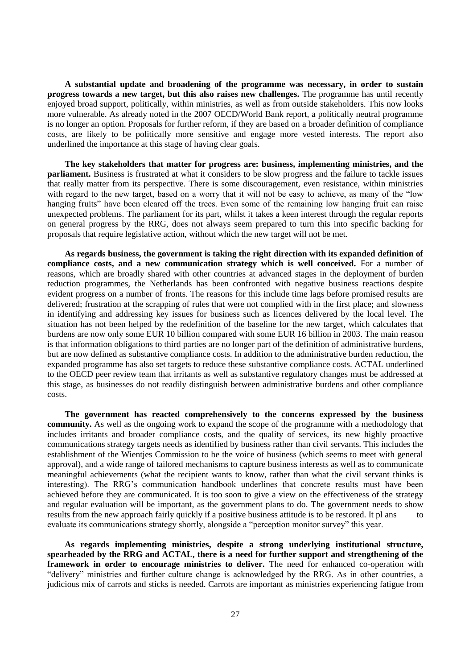**A substantial update and broadening of the programme was necessary, in order to sustain progress towards a new target, but this also raises new challenges.** The programme has until recently enjoyed broad support, politically, within ministries, as well as from outside stakeholders. This now looks more vulnerable. As already noted in the 2007 OECD/World Bank report, a politically neutral programme is no longer an option. Proposals for further reform, if they are based on a broader definition of compliance costs, are likely to be politically more sensitive and engage more vested interests. The report also underlined the importance at this stage of having clear goals.

**The key stakeholders that matter for progress are: business, implementing ministries, and the parliament.** Business is frustrated at what it considers to be slow progress and the failure to tackle issues that really matter from its perspective. There is some discouragement, even resistance, within ministries with regard to the new target, based on a worry that it will not be easy to achieve, as many of the "low hanging fruits" have been cleared off the trees. Even some of the remaining low hanging fruit can raise unexpected problems. The parliament for its part, whilst it takes a keen interest through the regular reports on general progress by the RRG, does not always seem prepared to turn this into specific backing for proposals that require legislative action, without which the new target will not be met.

**As regards business, the government is taking the right direction with its expanded definition of compliance costs, and a new communication strategy which is well conceived.** For a number of reasons, which are broadly shared with other countries at advanced stages in the deployment of burden reduction programmes, the Netherlands has been confronted with negative business reactions despite evident progress on a number of fronts. The reasons for this include time lags before promised results are delivered; frustration at the scrapping of rules that were not complied with in the first place; and slowness in identifying and addressing key issues for business such as licences delivered by the local level. The situation has not been helped by the redefinition of the baseline for the new target, which calculates that burdens are now only some EUR 10 billion compared with some EUR 16 billion in 2003. The main reason is that information obligations to third parties are no longer part of the definition of administrative burdens, but are now defined as substantive compliance costs. In addition to the administrative burden reduction, the expanded programme has also set targets to reduce these substantive compliance costs. ACTAL underlined to the OECD peer review team that irritants as well as substantive regulatory changes must be addressed at this stage, as businesses do not readily distinguish between administrative burdens and other compliance costs.

**The government has reacted comprehensively to the concerns expressed by the business community.** As well as the ongoing work to expand the scope of the programme with a methodology that includes irritants and broader compliance costs, and the quality of services, its new highly proactive communications strategy targets needs as identified by business rather than civil servants. This includes the establishment of the Wientjes Commission to be the voice of business (which seems to meet with general approval), and a wide range of tailored mechanisms to capture business interests as well as to communicate meaningful achievements (what the recipient wants to know, rather than what the civil servant thinks is interesting). The RRG's communication handbook underlines that concrete results must have been achieved before they are communicated. It is too soon to give a view on the effectiveness of the strategy and regular evaluation will be important, as the government plans to do. The government needs to show results from the new approach fairly quickly if a positive business attitude is to be restored. It pl ans to evaluate its communications strategy shortly, alongside a "perception monitor survey" this year.

**As regards implementing ministries, despite a strong underlying institutional structure, spearheaded by the RRG and ACTAL, there is a need for further support and strengthening of the framework in order to encourage ministries to deliver.** The need for enhanced co-operation with "delivery" ministries and further culture change is acknowledged by the RRG. As in other countries, a judicious mix of carrots and sticks is needed. Carrots are important as ministries experiencing fatigue from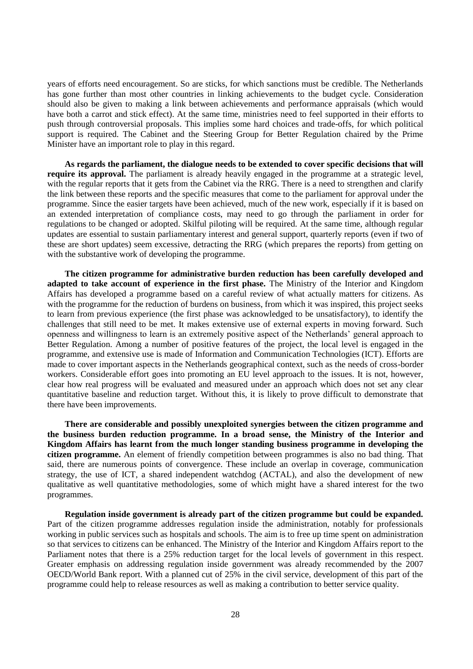years of efforts need encouragement. So are sticks, for which sanctions must be credible. The Netherlands has gone further than most other countries in linking achievements to the budget cycle. Consideration should also be given to making a link between achievements and performance appraisals (which would have both a carrot and stick effect). At the same time, ministries need to feel supported in their efforts to push through controversial proposals. This implies some hard choices and trade-offs, for which political support is required. The Cabinet and the Steering Group for Better Regulation chaired by the Prime Minister have an important role to play in this regard.

**As regards the parliament, the dialogue needs to be extended to cover specific decisions that will require its approval.** The parliament is already heavily engaged in the programme at a strategic level, with the regular reports that it gets from the Cabinet via the RRG. There is a need to strengthen and clarify the link between these reports and the specific measures that come to the parliament for approval under the programme. Since the easier targets have been achieved, much of the new work, especially if it is based on an extended interpretation of compliance costs, may need to go through the parliament in order for regulations to be changed or adopted. Skilful piloting will be required. At the same time, although regular updates are essential to sustain parliamentary interest and general support, quarterly reports (even if two of these are short updates) seem excessive, detracting the RRG (which prepares the reports) from getting on with the substantive work of developing the programme.

**The citizen programme for administrative burden reduction has been carefully developed and adapted to take account of experience in the first phase.** The Ministry of the Interior and Kingdom Affairs has developed a programme based on a careful review of what actually matters for citizens. As with the programme for the reduction of burdens on business, from which it was inspired, this project seeks to learn from previous experience (the first phase was acknowledged to be unsatisfactory), to identify the challenges that still need to be met. It makes extensive use of external experts in moving forward. Such openness and willingness to learn is an extremely positive aspect of the Netherlands' general approach to Better Regulation. Among a number of positive features of the project, the local level is engaged in the programme, and extensive use is made of Information and Communication Technologies (ICT). Efforts are made to cover important aspects in the Netherlands geographical context, such as the needs of cross-border workers. Considerable effort goes into promoting an EU level approach to the issues. It is not, however, clear how real progress will be evaluated and measured under an approach which does not set any clear quantitative baseline and reduction target. Without this, it is likely to prove difficult to demonstrate that there have been improvements.

**There are considerable and possibly unexploited synergies between the citizen programme and the business burden reduction programme. In a broad sense, the Ministry of the Interior and Kingdom Affairs has learnt from the much longer standing business programme in developing the citizen programme.** An element of friendly competition between programmes is also no bad thing. That said, there are numerous points of convergence. These include an overlap in coverage, communication strategy, the use of ICT, a shared independent watchdog (ACTAL), and also the development of new qualitative as well quantitative methodologies, some of which might have a shared interest for the two programmes.

**Regulation inside government is already part of the citizen programme but could be expanded.** Part of the citizen programme addresses regulation inside the administration, notably for professionals working in public services such as hospitals and schools. The aim is to free up time spent on administration so that services to citizens can be enhanced. The Ministry of the Interior and Kingdom Affairs report to the Parliament notes that there is a 25% reduction target for the local levels of government in this respect. Greater emphasis on addressing regulation inside government was already recommended by the 2007 OECD/World Bank report. With a planned cut of 25% in the civil service, development of this part of the programme could help to release resources as well as making a contribution to better service quality.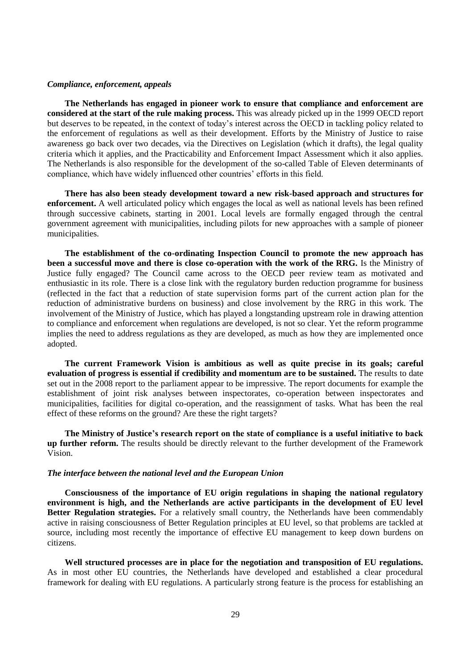## *Compliance, enforcement, appeals*

**The Netherlands has engaged in pioneer work to ensure that compliance and enforcement are considered at the start of the rule making process.** This was already picked up in the 1999 OECD report but deserves to be repeated, in the context of today's interest across the OECD in tackling policy related to the enforcement of regulations as well as their development. Efforts by the Ministry of Justice to raise awareness go back over two decades, via the Directives on Legislation (which it drafts), the legal quality criteria which it applies, and the Practicability and Enforcement Impact Assessment which it also applies. The Netherlands is also responsible for the development of the so-called Table of Eleven determinants of compliance, which have widely influenced other countries' efforts in this field.

**There has also been steady development toward a new risk-based approach and structures for enforcement.** A well articulated policy which engages the local as well as national levels has been refined through successive cabinets, starting in 2001. Local levels are formally engaged through the central government agreement with municipalities, including pilots for new approaches with a sample of pioneer municipalities.

**The establishment of the co-ordinating Inspection Council to promote the new approach has been a successful move and there is close co-operation with the work of the RRG.** Is the Ministry of Justice fully engaged? The Council came across to the OECD peer review team as motivated and enthusiastic in its role. There is a close link with the regulatory burden reduction programme for business (reflected in the fact that a reduction of state supervision forms part of the current action plan for the reduction of administrative burdens on business) and close involvement by the RRG in this work. The involvement of the Ministry of Justice, which has played a longstanding upstream role in drawing attention to compliance and enforcement when regulations are developed, is not so clear. Yet the reform programme implies the need to address regulations as they are developed, as much as how they are implemented once adopted.

**The current Framework Vision is ambitious as well as quite precise in its goals; careful evaluation of progress is essential if credibility and momentum are to be sustained.** The results to date set out in the 2008 report to the parliament appear to be impressive. The report documents for example the establishment of joint risk analyses between inspectorates, co-operation between inspectorates and municipalities, facilities for digital co-operation, and the reassignment of tasks. What has been the real effect of these reforms on the ground? Are these the right targets?

**The Ministry of Justice's research report on the state of compliance is a useful initiative to back up further reform.** The results should be directly relevant to the further development of the Framework Vision.

## *The interface between the national level and the European Union*

**Consciousness of the importance of EU origin regulations in shaping the national regulatory environment is high, and the Netherlands are active participants in the development of EU level Better Regulation strategies.** For a relatively small country, the Netherlands have been commendably active in raising consciousness of Better Regulation principles at EU level, so that problems are tackled at source, including most recently the importance of effective EU management to keep down burdens on citizens.

**Well structured processes are in place for the negotiation and transposition of EU regulations.** As in most other EU countries, the Netherlands have developed and established a clear procedural framework for dealing with EU regulations. A particularly strong feature is the process for establishing an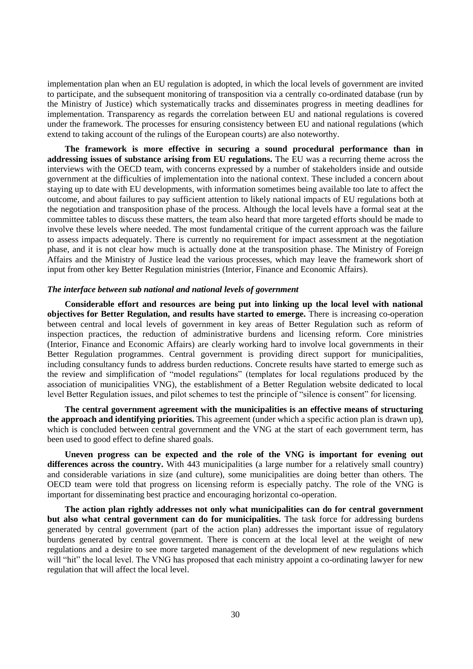implementation plan when an EU regulation is adopted, in which the local levels of government are invited to participate, and the subsequent monitoring of transposition via a centrally co-ordinated database (run by the Ministry of Justice) which systematically tracks and disseminates progress in meeting deadlines for implementation. Transparency as regards the correlation between EU and national regulations is covered under the framework. The processes for ensuring consistency between EU and national regulations (which extend to taking account of the rulings of the European courts) are also noteworthy.

**The framework is more effective in securing a sound procedural performance than in addressing issues of substance arising from EU regulations.** The EU was a recurring theme across the interviews with the OECD team, with concerns expressed by a number of stakeholders inside and outside government at the difficulties of implementation into the national context. These included a concern about staying up to date with EU developments, with information sometimes being available too late to affect the outcome, and about failures to pay sufficient attention to likely national impacts of EU regulations both at the negotiation and transposition phase of the process. Although the local levels have a formal seat at the committee tables to discuss these matters, the team also heard that more targeted efforts should be made to involve these levels where needed. The most fundamental critique of the current approach was the failure to assess impacts adequately. There is currently no requirement for impact assessment at the negotiation phase, and it is not clear how much is actually done at the transposition phase. The Ministry of Foreign Affairs and the Ministry of Justice lead the various processes, which may leave the framework short of input from other key Better Regulation ministries (Interior, Finance and Economic Affairs).

#### *The interface between sub national and national levels of government*

**Considerable effort and resources are being put into linking up the local level with national objectives for Better Regulation, and results have started to emerge.** There is increasing co-operation between central and local levels of government in key areas of Better Regulation such as reform of inspection practices, the reduction of administrative burdens and licensing reform. Core ministries (Interior, Finance and Economic Affairs) are clearly working hard to involve local governments in their Better Regulation programmes. Central government is providing direct support for municipalities, including consultancy funds to address burden reductions. Concrete results have started to emerge such as the review and simplification of "model regulations" (templates for local regulations produced by the association of municipalities VNG), the establishment of a Better Regulation website dedicated to local level Better Regulation issues, and pilot schemes to test the principle of "silence is consent" for licensing.

**The central government agreement with the municipalities is an effective means of structuring the approach and identifying priorities.** This agreement (under which a specific action plan is drawn up), which is concluded between central government and the VNG at the start of each government term, has been used to good effect to define shared goals.

**Uneven progress can be expected and the role of the VNG is important for evening out differences across the country.** With 443 municipalities (a large number for a relatively small country) and considerable variations in size (and culture), some municipalities are doing better than others. The OECD team were told that progress on licensing reform is especially patchy. The role of the VNG is important for disseminating best practice and encouraging horizontal co-operation.

**The action plan rightly addresses not only what municipalities can do for central government but also what central government can do for municipalities.** The task force for addressing burdens generated by central government (part of the action plan) addresses the important issue of regulatory burdens generated by central government. There is concern at the local level at the weight of new regulations and a desire to see more targeted management of the development of new regulations which will "hit" the local level. The VNG has proposed that each ministry appoint a co-ordinating lawyer for new regulation that will affect the local level.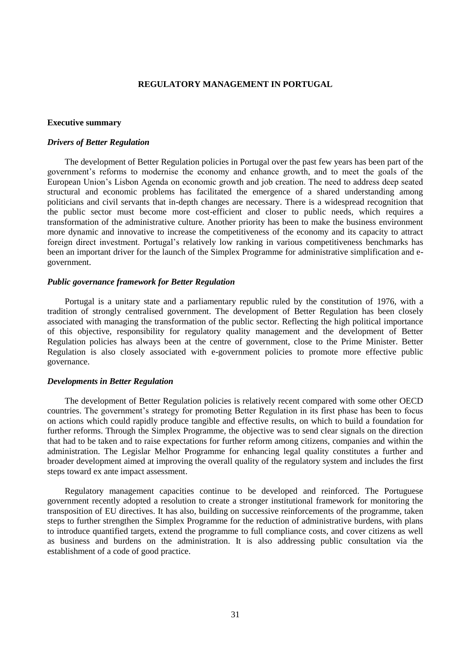# **REGULATORY MANAGEMENT IN PORTUGAL**

#### <span id="page-30-1"></span><span id="page-30-0"></span>**Executive summary**

## *Drivers of Better Regulation*

The development of Better Regulation policies in Portugal over the past few years has been part of the government's reforms to modernise the economy and enhance growth, and to meet the goals of the European Union's Lisbon Agenda on economic growth and job creation. The need to address deep seated structural and economic problems has facilitated the emergence of a shared understanding among politicians and civil servants that in-depth changes are necessary. There is a widespread recognition that the public sector must become more cost-efficient and closer to public needs, which requires a transformation of the administrative culture. Another priority has been to make the business environment more dynamic and innovative to increase the competitiveness of the economy and its capacity to attract foreign direct investment. Portugal's relatively low ranking in various competitiveness benchmarks has been an important driver for the launch of the Simplex Programme for administrative simplification and egovernment.

# *Public governance framework for Better Regulation*

Portugal is a unitary state and a parliamentary republic ruled by the constitution of 1976, with a tradition of strongly centralised government. The development of Better Regulation has been closely associated with managing the transformation of the public sector. Reflecting the high political importance of this objective, responsibility for regulatory quality management and the development of Better Regulation policies has always been at the centre of government, close to the Prime Minister. Better Regulation is also closely associated with e-government policies to promote more effective public governance.

#### *Developments in Better Regulation*

The development of Better Regulation policies is relatively recent compared with some other OECD countries. The government's strategy for promoting Better Regulation in its first phase has been to focus on actions which could rapidly produce tangible and effective results, on which to build a foundation for further reforms. Through the Simplex Programme, the objective was to send clear signals on the direction that had to be taken and to raise expectations for further reform among citizens, companies and within the administration. The Legislar Melhor Programme for enhancing legal quality constitutes a further and broader development aimed at improving the overall quality of the regulatory system and includes the first steps toward ex ante impact assessment.

Regulatory management capacities continue to be developed and reinforced. The Portuguese government recently adopted a resolution to create a stronger institutional framework for monitoring the transposition of EU directives. It has also, building on successive reinforcements of the programme, taken steps to further strengthen the Simplex Programme for the reduction of administrative burdens, with plans to introduce quantified targets, extend the programme to full compliance costs, and cover citizens as well as business and burdens on the administration. It is also addressing public consultation via the establishment of a code of good practice.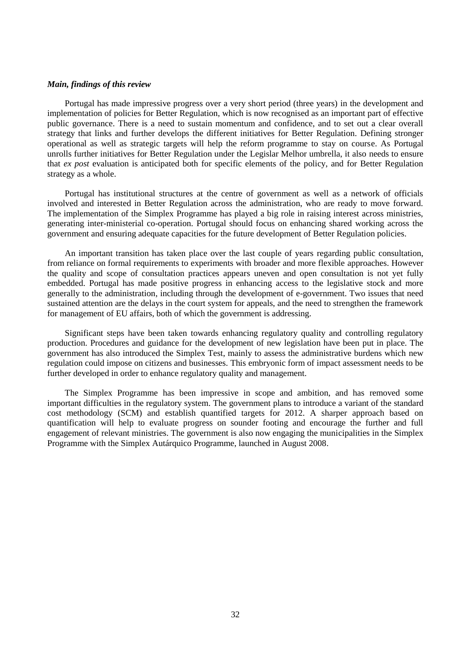## *Main, findings of this review*

Portugal has made impressive progress over a very short period (three years) in the development and implementation of policies for Better Regulation, which is now recognised as an important part of effective public governance. There is a need to sustain momentum and confidence, and to set out a clear overall strategy that links and further develops the different initiatives for Better Regulation. Defining stronger operational as well as strategic targets will help the reform programme to stay on course. As Portugal unrolls further initiatives for Better Regulation under the Legislar Melhor umbrella, it also needs to ensure that *ex post* evaluation is anticipated both for specific elements of the policy, and for Better Regulation strategy as a whole.

Portugal has institutional structures at the centre of government as well as a network of officials involved and interested in Better Regulation across the administration, who are ready to move forward. The implementation of the Simplex Programme has played a big role in raising interest across ministries, generating inter-ministerial co-operation. Portugal should focus on enhancing shared working across the government and ensuring adequate capacities for the future development of Better Regulation policies.

An important transition has taken place over the last couple of years regarding public consultation, from reliance on formal requirements to experiments with broader and more flexible approaches. However the quality and scope of consultation practices appears uneven and open consultation is not yet fully embedded. Portugal has made positive progress in enhancing access to the legislative stock and more generally to the administration, including through the development of e-government. Two issues that need sustained attention are the delays in the court system for appeals, and the need to strengthen the framework for management of EU affairs, both of which the government is addressing.

Significant steps have been taken towards enhancing regulatory quality and controlling regulatory production. Procedures and guidance for the development of new legislation have been put in place. The government has also introduced the Simplex Test, mainly to assess the administrative burdens which new regulation could impose on citizens and businesses. This embryonic form of impact assessment needs to be further developed in order to enhance regulatory quality and management.

The Simplex Programme has been impressive in scope and ambition, and has removed some important difficulties in the regulatory system. The government plans to introduce a variant of the standard cost methodology (SCM) and establish quantified targets for 2012. A sharper approach based on quantification will help to evaluate progress on sounder footing and encourage the further and full engagement of relevant ministries. The government is also now engaging the municipalities in the Simplex Programme with the Simplex Autárquico Programme, launched in August 2008.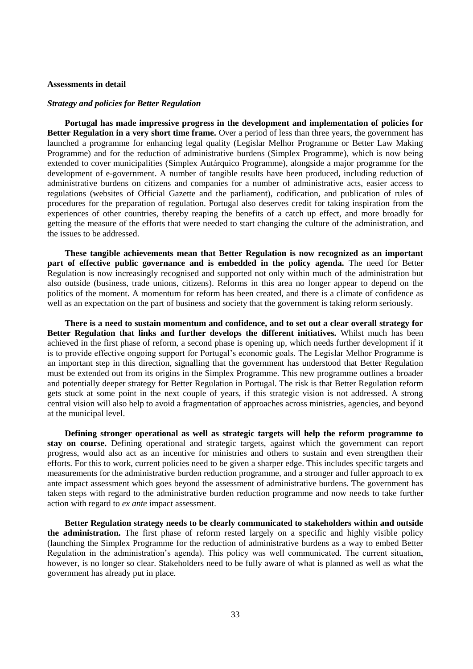## <span id="page-32-0"></span>**Assessments in detail**

#### *Strategy and policies for Better Regulation*

**Portugal has made impressive progress in the development and implementation of policies for Better Regulation in a very short time frame.** Over a period of less than three years, the government has launched a programme for enhancing legal quality (Legislar Melhor Programme or Better Law Making Programme) and for the reduction of administrative burdens (Simplex Programme), which is now being extended to cover municipalities (Simplex Autárquico Programme), alongside a major programme for the development of e-government. A number of tangible results have been produced, including reduction of administrative burdens on citizens and companies for a number of administrative acts, easier access to regulations (websites of Official Gazette and the parliament), codification, and publication of rules of procedures for the preparation of regulation. Portugal also deserves credit for taking inspiration from the experiences of other countries, thereby reaping the benefits of a catch up effect, and more broadly for getting the measure of the efforts that were needed to start changing the culture of the administration, and the issues to be addressed.

**These tangible achievements mean that Better Regulation is now recognized as an important part of effective public governance and is embedded in the policy agenda.** The need for Better Regulation is now increasingly recognised and supported not only within much of the administration but also outside (business, trade unions, citizens). Reforms in this area no longer appear to depend on the politics of the moment. A momentum for reform has been created, and there is a climate of confidence as well as an expectation on the part of business and society that the government is taking reform seriously.

**There is a need to sustain momentum and confidence, and to set out a clear overall strategy for Better Regulation that links and further develops the different initiatives.** Whilst much has been achieved in the first phase of reform, a second phase is opening up, which needs further development if it is to provide effective ongoing support for Portugal's economic goals. The Legislar Melhor Programme is an important step in this direction, signalling that the government has understood that Better Regulation must be extended out from its origins in the Simplex Programme. This new programme outlines a broader and potentially deeper strategy for Better Regulation in Portugal. The risk is that Better Regulation reform gets stuck at some point in the next couple of years, if this strategic vision is not addressed. A strong central vision will also help to avoid a fragmentation of approaches across ministries, agencies, and beyond at the municipal level.

**Defining stronger operational as well as strategic targets will help the reform programme to stay on course.** Defining operational and strategic targets, against which the government can report progress, would also act as an incentive for ministries and others to sustain and even strengthen their efforts. For this to work, current policies need to be given a sharper edge. This includes specific targets and measurements for the administrative burden reduction programme, and a stronger and fuller approach to ex ante impact assessment which goes beyond the assessment of administrative burdens. The government has taken steps with regard to the administrative burden reduction programme and now needs to take further action with regard to *ex ante* impact assessment.

**Better Regulation strategy needs to be clearly communicated to stakeholders within and outside the administration.** The first phase of reform rested largely on a specific and highly visible policy (launching the Simplex Programme for the reduction of administrative burdens as a way to embed Better Regulation in the administration's agenda). This policy was well communicated. The current situation, however, is no longer so clear. Stakeholders need to be fully aware of what is planned as well as what the government has already put in place.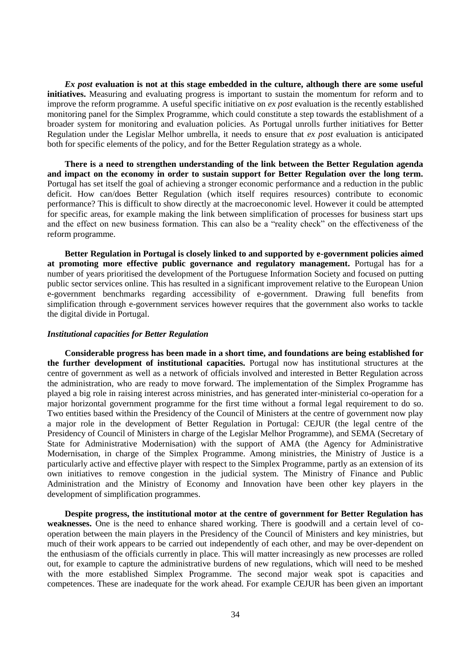*Ex post* **evaluation is not at this stage embedded in the culture, although there are some useful initiatives.** Measuring and evaluating progress is important to sustain the momentum for reform and to improve the reform programme. A useful specific initiative on *ex post* evaluation is the recently established monitoring panel for the Simplex Programme, which could constitute a step towards the establishment of a broader system for monitoring and evaluation policies. As Portugal unrolls further initiatives for Better Regulation under the Legislar Melhor umbrella, it needs to ensure that *ex post* evaluation is anticipated both for specific elements of the policy, and for the Better Regulation strategy as a whole.

**There is a need to strengthen understanding of the link between the Better Regulation agenda and impact on the economy in order to sustain support for Better Regulation over the long term.** Portugal has set itself the goal of achieving a stronger economic performance and a reduction in the public deficit. How can/does Better Regulation (which itself requires resources) contribute to economic performance? This is difficult to show directly at the macroeconomic level. However it could be attempted for specific areas, for example making the link between simplification of processes for business start ups and the effect on new business formation. This can also be a "reality check" on the effectiveness of the reform programme.

**Better Regulation in Portugal is closely linked to and supported by e-government policies aimed at promoting more effective public governance and regulatory management.** Portugal has for a number of years prioritised the development of the Portuguese Information Society and focused on putting public sector services online. This has resulted in a significant improvement relative to the European Union e-government benchmarks regarding accessibility of e-government. Drawing full benefits from simplification through e-government services however requires that the government also works to tackle the digital divide in Portugal.

#### *Institutional capacities for Better Regulation*

**Considerable progress has been made in a short time, and foundations are being established for the further development of institutional capacities.** Portugal now has institutional structures at the centre of government as well as a network of officials involved and interested in Better Regulation across the administration, who are ready to move forward. The implementation of the Simplex Programme has played a big role in raising interest across ministries, and has generated inter-ministerial co-operation for a major horizontal government programme for the first time without a formal legal requirement to do so. Two entities based within the Presidency of the Council of Ministers at the centre of government now play a major role in the development of Better Regulation in Portugal: CEJUR (the legal centre of the Presidency of Council of Ministers in charge of the Legislar Melhor Programme), and SEMA (Secretary of State for Administrative Modernisation) with the support of AMA (the Agency for Administrative Modernisation, in charge of the Simplex Programme. Among ministries, the Ministry of Justice is a particularly active and effective player with respect to the Simplex Programme, partly as an extension of its own initiatives to remove congestion in the judicial system. The Ministry of Finance and Public Administration and the Ministry of Economy and Innovation have been other key players in the development of simplification programmes.

**Despite progress, the institutional motor at the centre of government for Better Regulation has weaknesses.** One is the need to enhance shared working. There is goodwill and a certain level of cooperation between the main players in the Presidency of the Council of Ministers and key ministries, but much of their work appears to be carried out independently of each other, and may be over-dependent on the enthusiasm of the officials currently in place. This will matter increasingly as new processes are rolled out, for example to capture the administrative burdens of new regulations, which will need to be meshed with the more established Simplex Programme. The second major weak spot is capacities and competences. These are inadequate for the work ahead. For example CEJUR has been given an important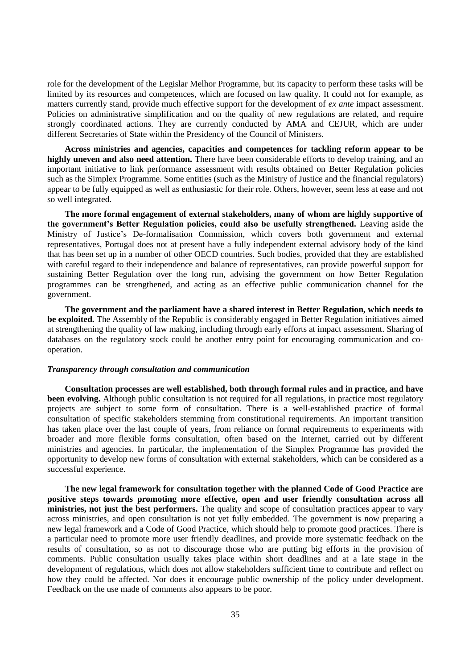role for the development of the Legislar Melhor Programme, but its capacity to perform these tasks will be limited by its resources and competences, which are focused on law quality. It could not for example, as matters currently stand, provide much effective support for the development of *ex ante* impact assessment. Policies on administrative simplification and on the quality of new regulations are related, and require strongly coordinated actions. They are currently conducted by AMA and CEJUR, which are under different Secretaries of State within the Presidency of the Council of Ministers.

**Across ministries and agencies, capacities and competences for tackling reform appear to be highly uneven and also need attention.** There have been considerable efforts to develop training, and an important initiative to link performance assessment with results obtained on Better Regulation policies such as the Simplex Programme. Some entities (such as the Ministry of Justice and the financial regulators) appear to be fully equipped as well as enthusiastic for their role. Others, however, seem less at ease and not so well integrated.

**The more formal engagement of external stakeholders, many of whom are highly supportive of the government's Better Regulation policies, could also be usefully strengthened.** Leaving aside the Ministry of Justice's De-formalisation Commission, which covers both government and external representatives, Portugal does not at present have a fully independent external advisory body of the kind that has been set up in a number of other OECD countries. Such bodies, provided that they are established with careful regard to their independence and balance of representatives, can provide powerful support for sustaining Better Regulation over the long run, advising the government on how Better Regulation programmes can be strengthened, and acting as an effective public communication channel for the government.

**The government and the parliament have a shared interest in Better Regulation, which needs to be exploited.** The Assembly of the Republic is considerably engaged in Better Regulation initiatives aimed at strengthening the quality of law making, including through early efforts at impact assessment. Sharing of databases on the regulatory stock could be another entry point for encouraging communication and cooperation.

## *Transparency through consultation and communication*

**Consultation processes are well established, both through formal rules and in practice, and have been evolving.** Although public consultation is not required for all regulations, in practice most regulatory projects are subject to some form of consultation. There is a well-established practice of formal consultation of specific stakeholders stemming from constitutional requirements. An important transition has taken place over the last couple of years, from reliance on formal requirements to experiments with broader and more flexible forms consultation, often based on the Internet, carried out by different ministries and agencies. In particular, the implementation of the Simplex Programme has provided the opportunity to develop new forms of consultation with external stakeholders, which can be considered as a successful experience.

**The new legal framework for consultation together with the planned Code of Good Practice are positive steps towards promoting more effective, open and user friendly consultation across all ministries, not just the best performers.** The quality and scope of consultation practices appear to vary across ministries, and open consultation is not yet fully embedded. The government is now preparing a new legal framework and a Code of Good Practice, which should help to promote good practices. There is a particular need to promote more user friendly deadlines, and provide more systematic feedback on the results of consultation, so as not to discourage those who are putting big efforts in the provision of comments. Public consultation usually takes place within short deadlines and at a late stage in the development of regulations, which does not allow stakeholders sufficient time to contribute and reflect on how they could be affected. Nor does it encourage public ownership of the policy under development. Feedback on the use made of comments also appears to be poor.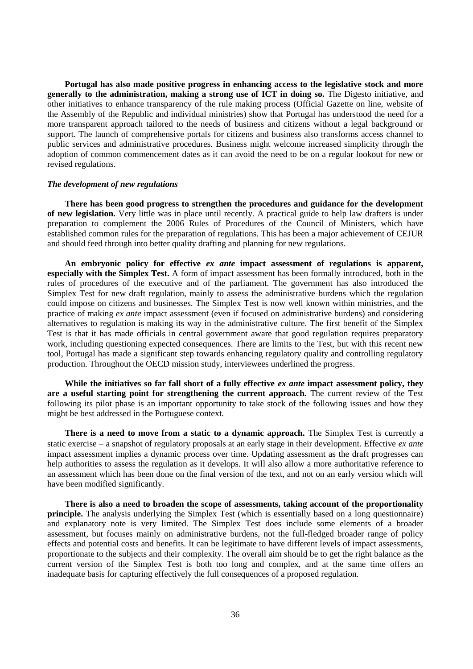**Portugal has also made positive progress in enhancing access to the legislative stock and more generally to the administration, making a strong use of ICT in doing so.** The Digesto initiative, and other initiatives to enhance transparency of the rule making process (Official Gazette on line, website of the Assembly of the Republic and individual ministries) show that Portugal has understood the need for a more transparent approach tailored to the needs of business and citizens without a legal background or support. The launch of comprehensive portals for citizens and business also transforms access channel to public services and administrative procedures. Business might welcome increased simplicity through the adoption of common commencement dates as it can avoid the need to be on a regular lookout for new or revised regulations.

#### *The development of new regulations*

**There has been good progress to strengthen the procedures and guidance for the development of new legislation.** Very little was in place until recently. A practical guide to help law drafters is under preparation to complement the 2006 Rules of Procedures of the Council of Ministers, which have established common rules for the preparation of regulations. This has been a major achievement of CEJUR and should feed through into better quality drafting and planning for new regulations.

**An embryonic policy for effective** *ex ante* **impact assessment of regulations is apparent, especially with the Simplex Test.** A form of impact assessment has been formally introduced, both in the rules of procedures of the executive and of the parliament. The government has also introduced the Simplex Test for new draft regulation, mainly to assess the administrative burdens which the regulation could impose on citizens and businesses. The Simplex Test is now well known within ministries, and the practice of making *ex ante* impact assessment (even if focused on administrative burdens) and considering alternatives to regulation is making its way in the administrative culture. The first benefit of the Simplex Test is that it has made officials in central government aware that good regulation requires preparatory work, including questioning expected consequences. There are limits to the Test, but with this recent new tool, Portugal has made a significant step towards enhancing regulatory quality and controlling regulatory production. Throughout the OECD mission study, interviewees underlined the progress.

**While the initiatives so far fall short of a fully effective** *ex ante* **impact assessment policy, they are a useful starting point for strengthening the current approach.** The current review of the Test following its pilot phase is an important opportunity to take stock of the following issues and how they might be best addressed in the Portuguese context.

**There is a need to move from a static to a dynamic approach.** The Simplex Test is currently a static exercise a snapshot of regulatory proposals at an early stage in their development. Effective *ex ante* impact assessment implies a dynamic process over time. Updating assessment as the draft progresses can help authorities to assess the regulation as it develops. It will also allow a more authoritative reference to an assessment which has been done on the final version of the text, and not on an early version which will have been modified significantly.

**There is also a need to broaden the scope of assessments, taking account of the proportionality principle.** The analysis underlying the Simplex Test (which is essentially based on a long questionnaire) and explanatory note is very limited. The Simplex Test does include some elements of a broader assessment, but focuses mainly on administrative burdens, not the full-fledged broader range of policy effects and potential costs and benefits. It can be legitimate to have different levels of impact assessments, proportionate to the subjects and their complexity. The overall aim should be to get the right balance as the current version of the Simplex Test is both too long and complex, and at the same time offers an inadequate basis for capturing effectively the full consequences of a proposed regulation.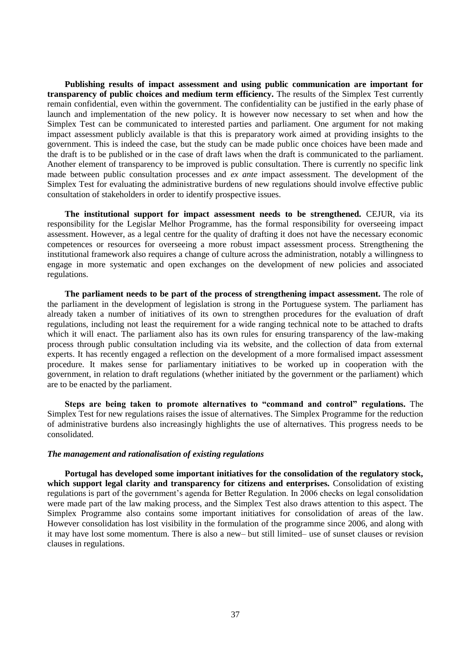**Publishing results of impact assessment and using public communication are important for transparency of public choices and medium term efficiency.** The results of the Simplex Test currently remain confidential, even within the government. The confidentiality can be justified in the early phase of launch and implementation of the new policy. It is however now necessary to set when and how the Simplex Test can be communicated to interested parties and parliament. One argument for not making impact assessment publicly available is that this is preparatory work aimed at providing insights to the government. This is indeed the case, but the study can be made public once choices have been made and the draft is to be published or in the case of draft laws when the draft is communicated to the parliament. Another element of transparency to be improved is public consultation. There is currently no specific link made between public consultation processes and *ex ante* impact assessment. The development of the Simplex Test for evaluating the administrative burdens of new regulations should involve effective public consultation of stakeholders in order to identify prospective issues.

**The institutional support for impact assessment needs to be strengthened.** CEJUR, via its responsibility for the Legislar Melhor Programme, has the formal responsibility for overseeing impact assessment. However, as a legal centre for the quality of drafting it does not have the necessary economic competences or resources for overseeing a more robust impact assessment process. Strengthening the institutional framework also requires a change of culture across the administration, notably a willingness to engage in more systematic and open exchanges on the development of new policies and associated regulations.

**The parliament needs to be part of the process of strengthening impact assessment.** The role of the parliament in the development of legislation is strong in the Portuguese system. The parliament has already taken a number of initiatives of its own to strengthen procedures for the evaluation of draft regulations, including not least the requirement for a wide ranging technical note to be attached to drafts which it will enact. The parliament also has its own rules for ensuring transparency of the law-making process through public consultation including via its website, and the collection of data from external experts. It has recently engaged a reflection on the development of a more formalised impact assessment procedure. It makes sense for parliamentary initiatives to be worked up in cooperation with the government, in relation to draft regulations (whether initiated by the government or the parliament) which are to be enacted by the parliament.

**Steps are being taken to promote alternatives to "command and control" regulations.** The Simplex Test for new regulations raises the issue of alternatives. The Simplex Programme for the reduction of administrative burdens also increasingly highlights the use of alternatives. This progress needs to be consolidated.

## *The management and rationalisation of existing regulations*

**Portugal has developed some important initiatives for the consolidation of the regulatory stock, which support legal clarity and transparency for citizens and enterprises.** Consolidation of existing regulations is part of the government's agenda for Better Regulation. In 2006 checks on legal consolidation were made part of the law making process, and the Simplex Test also draws attention to this aspect. The Simplex Programme also contains some important initiatives for consolidation of areas of the law. However consolidation has lost visibility in the formulation of the programme since 2006, and along with it may have lost some momentum. There is also a new– but still limited– use of sunset clauses or revision clauses in regulations.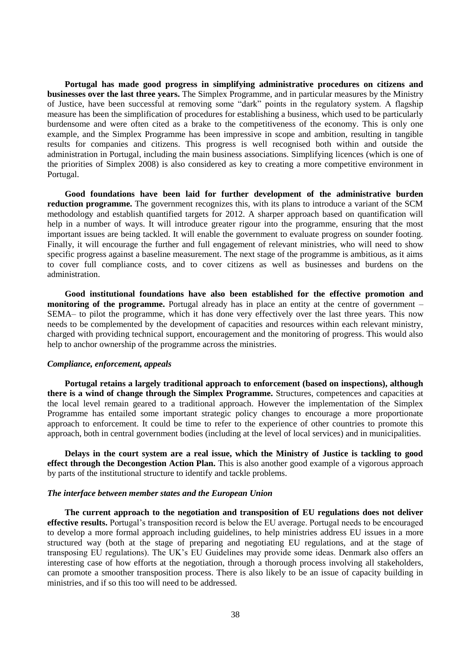**Portugal has made good progress in simplifying administrative procedures on citizens and businesses over the last three years.** The Simplex Programme, and in particular measures by the Ministry of Justice, have been successful at removing some "dark" points in the regulatory system. A flagship measure has been the simplification of procedures for establishing a business, which used to be particularly burdensome and were often cited as a brake to the competitiveness of the economy. This is only one example, and the Simplex Programme has been impressive in scope and ambition, resulting in tangible results for companies and citizens. This progress is well recognised both within and outside the administration in Portugal, including the main business associations. Simplifying licences (which is one of the priorities of Simplex 2008) is also considered as key to creating a more competitive environment in Portugal.

**Good foundations have been laid for further development of the administrative burden reduction programme.** The government recognizes this, with its plans to introduce a variant of the SCM methodology and establish quantified targets for 2012. A sharper approach based on quantification will help in a number of ways. It will introduce greater rigour into the programme, ensuring that the most important issues are being tackled. It will enable the government to evaluate progress on sounder footing. Finally, it will encourage the further and full engagement of relevant ministries, who will need to show specific progress against a baseline measurement. The next stage of the programme is ambitious, as it aims to cover full compliance costs, and to cover citizens as well as businesses and burdens on the administration.

**Good institutional foundations have also been established for the effective promotion and monitoring of the programme.** Portugal already has in place an entity at the centre of government – SEMA– to pilot the programme, which it has done very effectively over the last three years. This now needs to be complemented by the development of capacities and resources within each relevant ministry, charged with providing technical support, encouragement and the monitoring of progress. This would also help to anchor ownership of the programme across the ministries.

# *Compliance, enforcement, appeals*

**Portugal retains a largely traditional approach to enforcement (based on inspections), although there is a wind of change through the Simplex Programme.** Structures, competences and capacities at the local level remain geared to a traditional approach. However the implementation of the Simplex Programme has entailed some important strategic policy changes to encourage a more proportionate approach to enforcement. It could be time to refer to the experience of other countries to promote this approach, both in central government bodies (including at the level of local services) and in municipalities.

**Delays in the court system are a real issue, which the Ministry of Justice is tackling to good effect through the Decongestion Action Plan.** This is also another good example of a vigorous approach by parts of the institutional structure to identify and tackle problems.

## *The interface between member states and the European Union*

**The current approach to the negotiation and transposition of EU regulations does not deliver effective results.** Portugal's transposition record is below the EU average. Portugal needs to be encouraged to develop a more formal approach including guidelines, to help ministries address EU issues in a more structured way (both at the stage of preparing and negotiating EU regulations, and at the stage of transposing EU regulations). The UK's EU Guidelines may provide some ideas. Denmark also offers an interesting case of how efforts at the negotiation, through a thorough process involving all stakeholders, can promote a smoother transposition process. There is also likely to be an issue of capacity building in ministries, and if so this too will need to be addressed.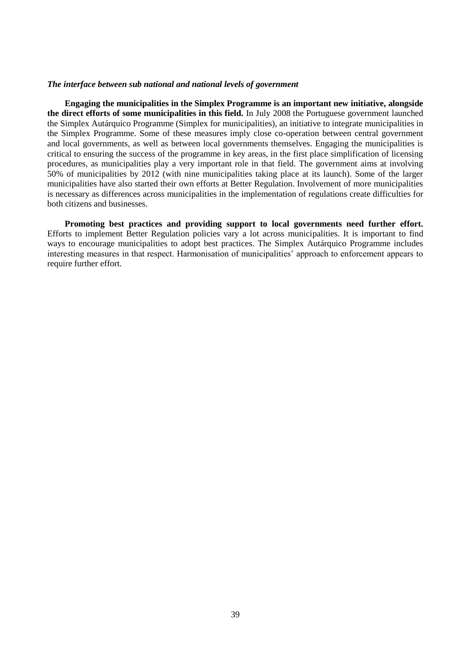#### *The interface between sub national and national levels of government*

**Engaging the municipalities in the Simplex Programme is an important new initiative, alongside the direct efforts of some municipalities in this field.** In July 2008 the Portuguese government launched the Simplex Autárquico Programme (Simplex for municipalities), an initiative to integrate municipalities in the Simplex Programme. Some of these measures imply close co-operation between central government and local governments, as well as between local governments themselves. Engaging the municipalities is critical to ensuring the success of the programme in key areas, in the first place simplification of licensing procedures, as municipalities play a very important role in that field. The government aims at involving 50% of municipalities by 2012 (with nine municipalities taking place at its launch). Some of the larger municipalities have also started their own efforts at Better Regulation. Involvement of more municipalities is necessary as differences across municipalities in the implementation of regulations create difficulties for both citizens and businesses.

**Promoting best practices and providing support to local governments need further effort.** Efforts to implement Better Regulation policies vary a lot across municipalities. It is important to find ways to encourage municipalities to adopt best practices. The Simplex Autárquico Programme includes interesting measures in that respect. Harmonisation of municipalities' approach to enforcement appears to require further effort.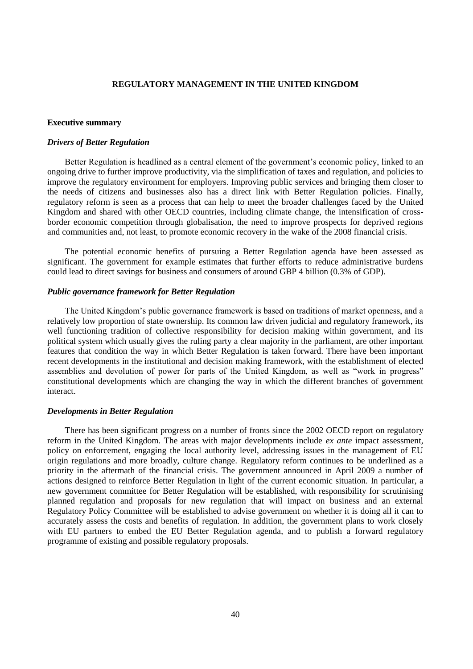## **REGULATORY MANAGEMENT IN THE UNITED KINGDOM**

#### <span id="page-39-1"></span><span id="page-39-0"></span>**Executive summary**

## *Drivers of Better Regulation*

Better Regulation is headlined as a central element of the government's economic policy, linked to an ongoing drive to further improve productivity, via the simplification of taxes and regulation, and policies to improve the regulatory environment for employers. Improving public services and bringing them closer to the needs of citizens and businesses also has a direct link with Better Regulation policies. Finally, regulatory reform is seen as a process that can help to meet the broader challenges faced by the United Kingdom and shared with other OECD countries, including climate change, the intensification of crossborder economic competition through globalisation, the need to improve prospects for deprived regions and communities and, not least, to promote economic recovery in the wake of the 2008 financial crisis.

The potential economic benefits of pursuing a Better Regulation agenda have been assessed as significant. The government for example estimates that further efforts to reduce administrative burdens could lead to direct savings for business and consumers of around GBP 4 billion (0.3% of GDP).

#### *Public governance framework for Better Regulation*

The United Kingdom's public governance framework is based on traditions of market openness, and a relatively low proportion of state ownership. Its common law driven judicial and regulatory framework, its well functioning tradition of collective responsibility for decision making within government, and its political system which usually gives the ruling party a clear majority in the parliament, are other important features that condition the way in which Better Regulation is taken forward. There have been important recent developments in the institutional and decision making framework, with the establishment of elected assemblies and devolution of power for parts of the United Kingdom, as well as "work in progress" constitutional developments which are changing the way in which the different branches of government interact.

#### *Developments in Better Regulation*

There has been significant progress on a number of fronts since the 2002 OECD report on regulatory reform in the United Kingdom. The areas with major developments include *ex ante* impact assessment, policy on enforcement, engaging the local authority level, addressing issues in the management of EU origin regulations and more broadly, culture change. Regulatory reform continues to be underlined as a priority in the aftermath of the financial crisis. The government announced in April 2009 a number of actions designed to reinforce Better Regulation in light of the current economic situation. In particular, a new government committee for Better Regulation will be established, with responsibility for scrutinising planned regulation and proposals for new regulation that will impact on business and an external Regulatory Policy Committee will be established to advise government on whether it is doing all it can to accurately assess the costs and benefits of regulation. In addition, the government plans to work closely with EU partners to embed the EU Better Regulation agenda, and to publish a forward regulatory programme of existing and possible regulatory proposals.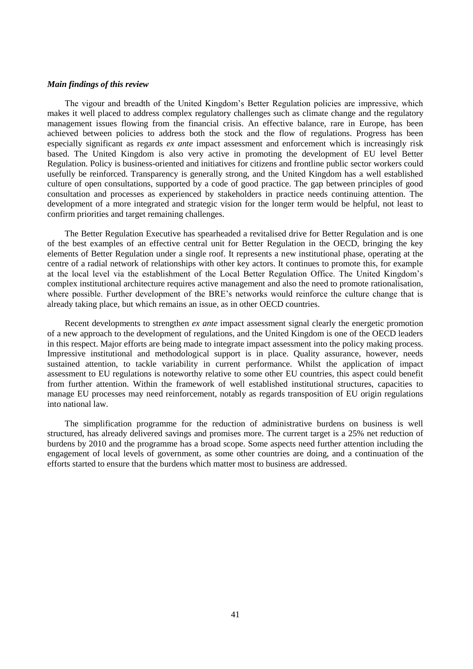## *Main findings of this review*

The vigour and breadth of the United Kingdom's Better Regulation policies are impressive, which makes it well placed to address complex regulatory challenges such as climate change and the regulatory management issues flowing from the financial crisis. An effective balance, rare in Europe, has been achieved between policies to address both the stock and the flow of regulations. Progress has been especially significant as regards *ex ante* impact assessment and enforcement which is increasingly risk based. The United Kingdom is also very active in promoting the development of EU level Better Regulation. Policy is business-oriented and initiatives for citizens and frontline public sector workers could usefully be reinforced. Transparency is generally strong, and the United Kingdom has a well established culture of open consultations, supported by a code of good practice. The gap between principles of good consultation and processes as experienced by stakeholders in practice needs continuing attention. The development of a more integrated and strategic vision for the longer term would be helpful, not least to confirm priorities and target remaining challenges.

The Better Regulation Executive has spearheaded a revitalised drive for Better Regulation and is one of the best examples of an effective central unit for Better Regulation in the OECD, bringing the key elements of Better Regulation under a single roof. It represents a new institutional phase, operating at the centre of a radial network of relationships with other key actors. It continues to promote this, for example at the local level via the establishment of the Local Better Regulation Office. The United Kingdom's complex institutional architecture requires active management and also the need to promote rationalisation, where possible. Further development of the BRE's networks would reinforce the culture change that is already taking place, but which remains an issue, as in other OECD countries.

Recent developments to strengthen *ex ante* impact assessment signal clearly the energetic promotion of a new approach to the development of regulations, and the United Kingdom is one of the OECD leaders in this respect. Major efforts are being made to integrate impact assessment into the policy making process. Impressive institutional and methodological support is in place. Quality assurance, however, needs sustained attention, to tackle variability in current performance. Whilst the application of impact assessment to EU regulations is noteworthy relative to some other EU countries, this aspect could benefit from further attention. Within the framework of well established institutional structures, capacities to manage EU processes may need reinforcement, notably as regards transposition of EU origin regulations into national law.

The simplification programme for the reduction of administrative burdens on business is well structured, has already delivered savings and promises more. The current target is a 25% net reduction of burdens by 2010 and the programme has a broad scope. Some aspects need further attention including the engagement of local levels of government, as some other countries are doing, and a continuation of the efforts started to ensure that the burdens which matter most to business are addressed.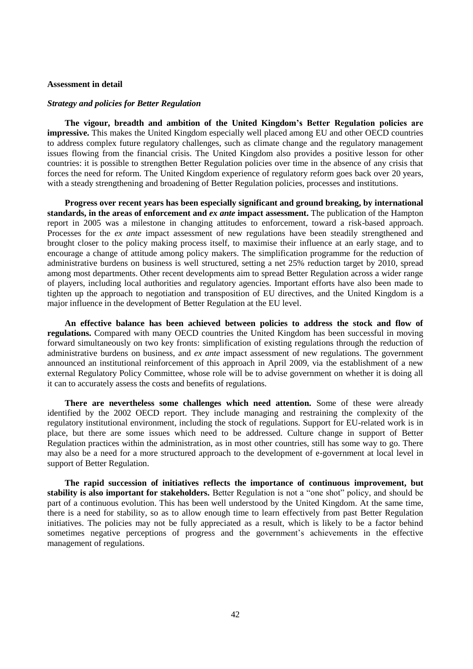### <span id="page-41-0"></span>**Assessment in detail**

#### *Strategy and policies for Better Regulation*

**The vigour, breadth and ambition of the United Kingdom's Better Regulation policies are impressive.** This makes the United Kingdom especially well placed among EU and other OECD countries to address complex future regulatory challenges, such as climate change and the regulatory management issues flowing from the financial crisis. The United Kingdom also provides a positive lesson for other countries: it is possible to strengthen Better Regulation policies over time in the absence of any crisis that forces the need for reform. The United Kingdom experience of regulatory reform goes back over 20 years, with a steady strengthening and broadening of Better Regulation policies, processes and institutions.

**Progress over recent years has been especially significant and ground breaking, by international standards, in the areas of enforcement and** *ex ante* **impact assessment.** The publication of the Hampton report in 2005 was a milestone in changing attitudes to enforcement, toward a risk-based approach. Processes for the *ex ante* impact assessment of new regulations have been steadily strengthened and brought closer to the policy making process itself, to maximise their influence at an early stage, and to encourage a change of attitude among policy makers. The simplification programme for the reduction of administrative burdens on business is well structured, setting a net 25% reduction target by 2010, spread among most departments. Other recent developments aim to spread Better Regulation across a wider range of players, including local authorities and regulatory agencies. Important efforts have also been made to tighten up the approach to negotiation and transposition of EU directives, and the United Kingdom is a major influence in the development of Better Regulation at the EU level.

**An effective balance has been achieved between policies to address the stock and flow of regulations.** Compared with many OECD countries the United Kingdom has been successful in moving forward simultaneously on two key fronts: simplification of existing regulations through the reduction of administrative burdens on business, and *ex ante* impact assessment of new regulations. The government announced an institutional reinforcement of this approach in April 2009, via the establishment of a new external Regulatory Policy Committee, whose role will be to advise government on whether it is doing all it can to accurately assess the costs and benefits of regulations.

**There are nevertheless some challenges which need attention.** Some of these were already identified by the 2002 OECD report. They include managing and restraining the complexity of the regulatory institutional environment, including the stock of regulations. Support for EU-related work is in place, but there are some issues which need to be addressed. Culture change in support of Better Regulation practices within the administration, as in most other countries, still has some way to go. There may also be a need for a more structured approach to the development of e-government at local level in support of Better Regulation.

**The rapid succession of initiatives reflects the importance of continuous improvement, but stability is also important for stakeholders.** Better Regulation is not a "one shot" policy, and should be part of a continuous evolution. This has been well understood by the United Kingdom. At the same time, there is a need for stability, so as to allow enough time to learn effectively from past Better Regulation initiatives. The policies may not be fully appreciated as a result, which is likely to be a factor behind sometimes negative perceptions of progress and the government's achievements in the effective management of regulations.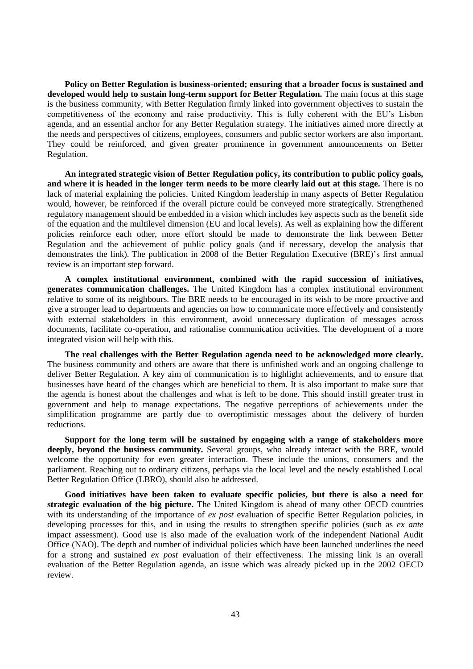**Policy on Better Regulation is business-oriented; ensuring that a broader focus is sustained and developed would help to sustain long-term support for Better Regulation.** The main focus at this stage is the business community, with Better Regulation firmly linked into government objectives to sustain the competitiveness of the economy and raise productivity. This is fully coherent with the EU's Lisbon agenda, and an essential anchor for any Better Regulation strategy. The initiatives aimed more directly at the needs and perspectives of citizens, employees, consumers and public sector workers are also important. They could be reinforced, and given greater prominence in government announcements on Better Regulation.

**An integrated strategic vision of Better Regulation policy, its contribution to public policy goals, and where it is headed in the longer term needs to be more clearly laid out at this stage.** There is no lack of material explaining the policies. United Kingdom leadership in many aspects of Better Regulation would, however, be reinforced if the overall picture could be conveyed more strategically. Strengthened regulatory management should be embedded in a vision which includes key aspects such as the benefit side of the equation and the multilevel dimension (EU and local levels). As well as explaining how the different policies reinforce each other, more effort should be made to demonstrate the link between Better Regulation and the achievement of public policy goals (and if necessary, develop the analysis that demonstrates the link). The publication in 2008 of the Better Regulation Executive (BRE)'s first annual review is an important step forward.

**A complex institutional environment, combined with the rapid succession of initiatives, generates communication challenges.** The United Kingdom has a complex institutional environment relative to some of its neighbours. The BRE needs to be encouraged in its wish to be more proactive and give a stronger lead to departments and agencies on how to communicate more effectively and consistently with external stakeholders in this environment, avoid unnecessary duplication of messages across documents, facilitate co-operation, and rationalise communication activities. The development of a more integrated vision will help with this.

**The real challenges with the Better Regulation agenda need to be acknowledged more clearly.** The business community and others are aware that there is unfinished work and an ongoing challenge to deliver Better Regulation. A key aim of communication is to highlight achievements, and to ensure that businesses have heard of the changes which are beneficial to them. It is also important to make sure that the agenda is honest about the challenges and what is left to be done. This should instill greater trust in government and help to manage expectations. The negative perceptions of achievements under the simplification programme are partly due to overoptimistic messages about the delivery of burden reductions.

**Support for the long term will be sustained by engaging with a range of stakeholders more deeply, beyond the business community.** Several groups, who already interact with the BRE, would welcome the opportunity for even greater interaction. These include the unions, consumers and the parliament. Reaching out to ordinary citizens, perhaps via the local level and the newly established Local Better Regulation Office (LBRO), should also be addressed.

**Good initiatives have been taken to evaluate specific policies, but there is also a need for strategic evaluation of the big picture.** The United Kingdom is ahead of many other OECD countries with its understanding of the importance of *ex post* evaluation of specific Better Regulation policies, in developing processes for this, and in using the results to strengthen specific policies (such as *ex ante* impact assessment). Good use is also made of the evaluation work of the independent National Audit Office (NAO). The depth and number of individual policies which have been launched underlines the need for a strong and sustained *ex post* evaluation of their effectiveness. The missing link is an overall evaluation of the Better Regulation agenda, an issue which was already picked up in the 2002 OECD review.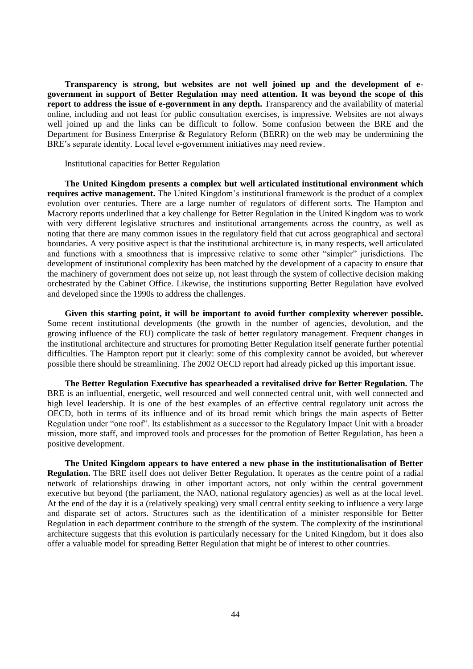**Transparency is strong, but websites are not well joined up and the development of egovernment in support of Better Regulation may need attention. It was beyond the scope of this report to address the issue of e-government in any depth.** Transparency and the availability of material online, including and not least for public consultation exercises, is impressive. Websites are not always well joined up and the links can be difficult to follow. Some confusion between the BRE and the Department for Business Enterprise & Regulatory Reform (BERR) on the web may be undermining the BRE's separate identity. Local level e-government initiatives may need review.

Institutional capacities for Better Regulation

**The United Kingdom presents a complex but well articulated institutional environment which requires active management.** The United Kingdom's institutional framework is the product of a complex evolution over centuries. There are a large number of regulators of different sorts. The Hampton and Macrory reports underlined that a key challenge for Better Regulation in the United Kingdom was to work with very different legislative structures and institutional arrangements across the country, as well as noting that there are many common issues in the regulatory field that cut across geographical and sectoral boundaries. A very positive aspect is that the institutional architecture is, in many respects, well articulated and functions with a smoothness that is impressive relative to some other "simpler" jurisdictions. The development of institutional complexity has been matched by the development of a capacity to ensure that the machinery of government does not seize up, not least through the system of collective decision making orchestrated by the Cabinet Office. Likewise, the institutions supporting Better Regulation have evolved and developed since the 1990s to address the challenges.

**Given this starting point, it will be important to avoid further complexity wherever possible.** Some recent institutional developments (the growth in the number of agencies, devolution, and the growing influence of the EU) complicate the task of better regulatory management. Frequent changes in the institutional architecture and structures for promoting Better Regulation itself generate further potential difficulties. The Hampton report put it clearly: some of this complexity cannot be avoided, but wherever possible there should be streamlining. The 2002 OECD report had already picked up this important issue.

**The Better Regulation Executive has spearheaded a revitalised drive for Better Regulation.** The BRE is an influential, energetic, well resourced and well connected central unit, with well connected and high level leadership. It is one of the best examples of an effective central regulatory unit across the OECD, both in terms of its influence and of its broad remit which brings the main aspects of Better Regulation under "one roof". Its establishment as a successor to the Regulatory Impact Unit with a broader mission, more staff, and improved tools and processes for the promotion of Better Regulation, has been a positive development.

**The United Kingdom appears to have entered a new phase in the institutionalisation of Better Regulation.** The BRE itself does not deliver Better Regulation. It operates as the centre point of a radial network of relationships drawing in other important actors, not only within the central government executive but beyond (the parliament, the NAO, national regulatory agencies) as well as at the local level. At the end of the day it is a (relatively speaking) very small central entity seeking to influence a very large and disparate set of actors. Structures such as the identification of a minister responsible for Better Regulation in each department contribute to the strength of the system. The complexity of the institutional architecture suggests that this evolution is particularly necessary for the United Kingdom, but it does also offer a valuable model for spreading Better Regulation that might be of interest to other countries.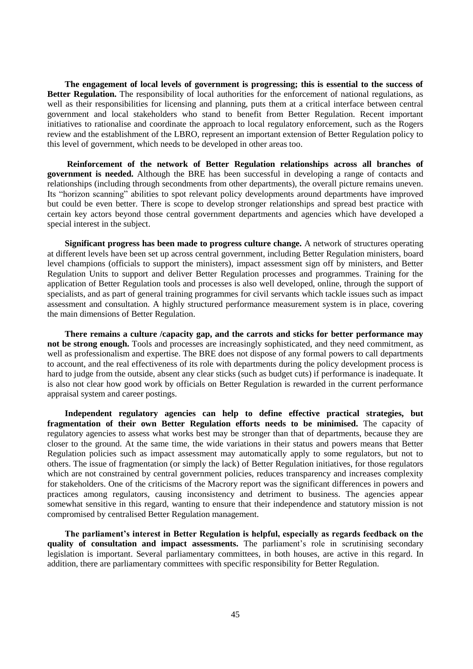**The engagement of local levels of government is progressing; this is essential to the success of Better Regulation.** The responsibility of local authorities for the enforcement of national regulations, as well as their responsibilities for licensing and planning, puts them at a critical interface between central government and local stakeholders who stand to benefit from Better Regulation. Recent important initiatives to rationalise and coordinate the approach to local regulatory enforcement, such as the Rogers review and the establishment of the LBRO, represent an important extension of Better Regulation policy to this level of government, which needs to be developed in other areas too.

**Reinforcement of the network of Better Regulation relationships across all branches of government is needed.** Although the BRE has been successful in developing a range of contacts and relationships (including through secondments from other departments), the overall picture remains uneven. Its "horizon scanning" abilities to spot relevant policy developments around departments have improved but could be even better. There is scope to develop stronger relationships and spread best practice with certain key actors beyond those central government departments and agencies which have developed a special interest in the subject.

**Significant progress has been made to progress culture change.** A network of structures operating at different levels have been set up across central government, including Better Regulation ministers, board level champions (officials to support the ministers), impact assessment sign off by ministers, and Better Regulation Units to support and deliver Better Regulation processes and programmes. Training for the application of Better Regulation tools and processes is also well developed, online, through the support of specialists, and as part of general training programmes for civil servants which tackle issues such as impact assessment and consultation. A highly structured performance measurement system is in place, covering the main dimensions of Better Regulation.

**There remains a culture /capacity gap, and the carrots and sticks for better performance may not be strong enough.** Tools and processes are increasingly sophisticated, and they need commitment, as well as professionalism and expertise. The BRE does not dispose of any formal powers to call departments to account, and the real effectiveness of its role with departments during the policy development process is hard to judge from the outside, absent any clear sticks (such as budget cuts) if performance is inadequate. It is also not clear how good work by officials on Better Regulation is rewarded in the current performance appraisal system and career postings.

**Independent regulatory agencies can help to define effective practical strategies, but fragmentation of their own Better Regulation efforts needs to be minimised.** The capacity of regulatory agencies to assess what works best may be stronger than that of departments, because they are closer to the ground. At the same time, the wide variations in their status and powers means that Better Regulation policies such as impact assessment may automatically apply to some regulators, but not to others. The issue of fragmentation (or simply the lack) of Better Regulation initiatives, for those regulators which are not constrained by central government policies, reduces transparency and increases complexity for stakeholders. One of the criticisms of the Macrory report was the significant differences in powers and practices among regulators, causing inconsistency and detriment to business. The agencies appear somewhat sensitive in this regard, wanting to ensure that their independence and statutory mission is not compromised by centralised Better Regulation management.

**The parliament's interest in Better Regulation is helpful, especially as regards feedback on the quality of consultation and impact assessments.** The parliament's role in scrutinising secondary legislation is important. Several parliamentary committees, in both houses, are active in this regard. In addition, there are parliamentary committees with specific responsibility for Better Regulation.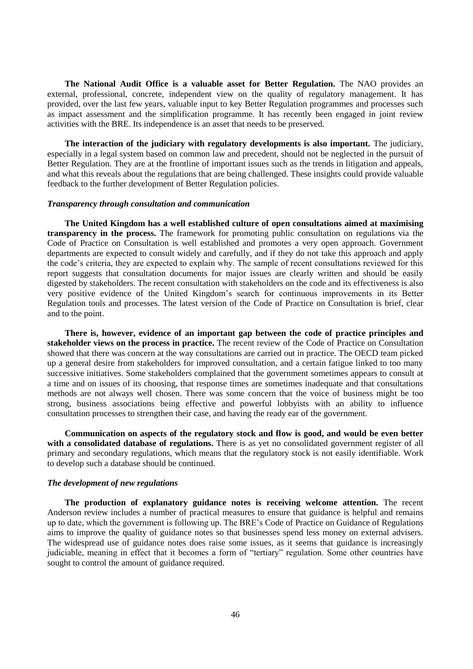**The National Audit Office is a valuable asset for Better Regulation.** The NAO provides an external, professional, concrete, independent view on the quality of regulatory management. It has provided, over the last few years, valuable input to key Better Regulation programmes and processes such as impact assessment and the simplification programme. It has recently been engaged in joint review activities with the BRE. Its independence is an asset that needs to be preserved.

**The interaction of the judiciary with regulatory developments is also important.** The judiciary, especially in a legal system based on common law and precedent, should not be neglected in the pursuit of Better Regulation. They are at the frontline of important issues such as the trends in litigation and appeals, and what this reveals about the regulations that are being challenged. These insights could provide valuable feedback to the further development of Better Regulation policies.

## *Transparency through consultation and communication*

**The United Kingdom has a well established culture of open consultations aimed at maximising transparency in the process.** The framework for promoting public consultation on regulations via the Code of Practice on Consultation is well established and promotes a very open approach. Government departments are expected to consult widely and carefully, and if they do not take this approach and apply the code's criteria, they are expected to explain why. The sample of recent consultations reviewed for this report suggests that consultation documents for major issues are clearly written and should be easily digested by stakeholders. The recent consultation with stakeholders on the code and its effectiveness is also very positive evidence of the United Kingdom's search for continuous improvements in its Better Regulation tools and processes. The latest version of the Code of Practice on Consultation is brief, clear and to the point.

**There is, however, evidence of an important gap between the code of practice principles and stakeholder views on the process in practice.** The recent review of the Code of Practice on Consultation showed that there was concern at the way consultations are carried out in practice. The OECD team picked up a general desire from stakeholders for improved consultation, and a certain fatigue linked to too many successive initiatives. Some stakeholders complained that the government sometimes appears to consult at a time and on issues of its choosing, that response times are sometimes inadequate and that consultations methods are not always well chosen. There was some concern that the voice of business might be too strong, business associations being effective and powerful lobbyists with an ability to influence consultation processes to strengthen their case, and having the ready ear of the government.

**Communication on aspects of the regulatory stock and flow is good, and would be even better with a consolidated database of regulations.** There is as yet no consolidated government register of all primary and secondary regulations, which means that the regulatory stock is not easily identifiable. Work to develop such a database should be continued.

#### *The development of new regulations*

**The production of explanatory guidance notes is receiving welcome attention.** The recent Anderson review includes a number of practical measures to ensure that guidance is helpful and remains up to date, which the government is following up. The BRE's Code of Practice on Guidance of Regulations aims to improve the quality of guidance notes so that businesses spend less money on external advisers. The widespread use of guidance notes does raise some issues, as it seems that guidance is increasingly judiciable, meaning in effect that it becomes a form of "tertiary" regulation. Some other countries have sought to control the amount of guidance required.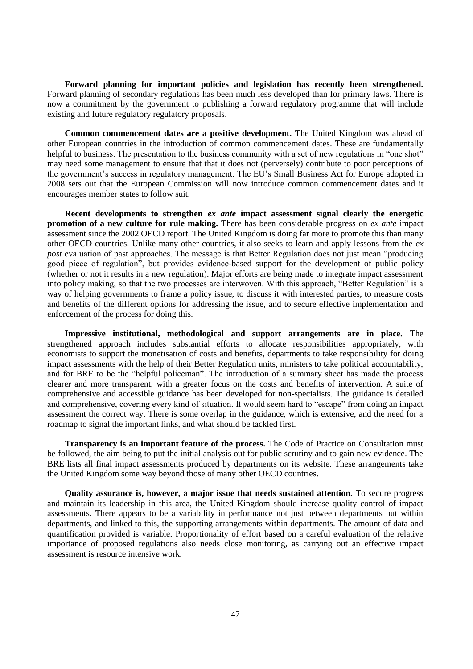**Forward planning for important policies and legislation has recently been strengthened.** Forward planning of secondary regulations has been much less developed than for primary laws. There is now a commitment by the government to publishing a forward regulatory programme that will include existing and future regulatory regulatory proposals.

**Common commencement dates are a positive development.** The United Kingdom was ahead of other European countries in the introduction of common commencement dates. These are fundamentally helpful to business. The presentation to the business community with a set of new regulations in "one shot" may need some management to ensure that that it does not (perversely) contribute to poor perceptions of the government's success in regulatory management. The EU's Small Business Act for Europe adopted in 2008 sets out that the European Commission will now introduce common commencement dates and it encourages member states to follow suit.

**Recent developments to strengthen** *ex ante* **impact assessment signal clearly the energetic promotion of a new culture for rule making.** There has been considerable progress on *ex ante* impact assessment since the 2002 OECD report. The United Kingdom is doing far more to promote this than many other OECD countries. Unlike many other countries, it also seeks to learn and apply lessons from the *ex post* evaluation of past approaches. The message is that Better Regulation does not just mean "producing good piece of regulation", but provides evidence-based support for the development of public policy (whether or not it results in a new regulation). Major efforts are being made to integrate impact assessment into policy making, so that the two processes are interwoven. With this approach, "Better Regulation" is a way of helping governments to frame a policy issue, to discuss it with interested parties, to measure costs and benefits of the different options for addressing the issue, and to secure effective implementation and enforcement of the process for doing this.

**Impressive institutional, methodological and support arrangements are in place.** The strengthened approach includes substantial efforts to allocate responsibilities appropriately, with economists to support the monetisation of costs and benefits, departments to take responsibility for doing impact assessments with the help of their Better Regulation units, ministers to take political accountability, and for BRE to be the "helpful policeman". The introduction of a summary sheet has made the process clearer and more transparent, with a greater focus on the costs and benefits of intervention. A suite of comprehensive and accessible guidance has been developed for non-specialists*.* The guidance is detailed and comprehensive, covering every kind of situation. It would seem hard to "escape" from doing an impact assessment the correct way. There is some overlap in the guidance, which is extensive, and the need for a roadmap to signal the important links, and what should be tackled first.

**Transparency is an important feature of the process.** The Code of Practice on Consultation must be followed, the aim being to put the initial analysis out for public scrutiny and to gain new evidence. The BRE lists all final impact assessments produced by departments on its website. These arrangements take the United Kingdom some way beyond those of many other OECD countries.

**Quality assurance is, however, a major issue that needs sustained attention.** To secure progress and maintain its leadership in this area, the United Kingdom should increase quality control of impact assessments. There appears to be a variability in performance not just between departments but within departments, and linked to this, the supporting arrangements within departments. The amount of data and quantification provided is variable. Proportionality of effort based on a careful evaluation of the relative importance of proposed regulations also needs close monitoring, as carrying out an effective impact assessment is resource intensive work.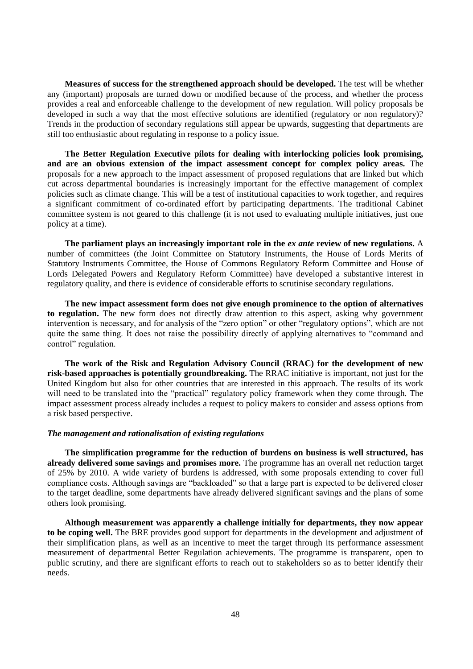**Measures of success for the strengthened approach should be developed.** The test will be whether any (important) proposals are turned down or modified because of the process, and whether the process provides a real and enforceable challenge to the development of new regulation. Will policy proposals be developed in such a way that the most effective solutions are identified (regulatory or non regulatory)? Trends in the production of secondary regulations still appear be upwards, suggesting that departments are still too enthusiastic about regulating in response to a policy issue.

**The Better Regulation Executive pilots for dealing with interlocking policies look promising, and are an obvious extension of the impact assessment concept for complex policy areas.** The proposals for a new approach to the impact assessment of proposed regulations that are linked but which cut across departmental boundaries is increasingly important for the effective management of complex policies such as climate change. This will be a test of institutional capacities to work together, and requires a significant commitment of co-ordinated effort by participating departments. The traditional Cabinet committee system is not geared to this challenge (it is not used to evaluating multiple initiatives, just one policy at a time).

**The parliament plays an increasingly important role in the** *ex ante* **review of new regulations.** A number of committees (the Joint Committee on Statutory Instruments, the House of Lords Merits of Statutory Instruments Committee, the House of Commons Regulatory Reform Committee and House of Lords Delegated Powers and Regulatory Reform Committee) have developed a substantive interest in regulatory quality, and there is evidence of considerable efforts to scrutinise secondary regulations.

**The new impact assessment form does not give enough prominence to the option of alternatives to regulation.** The new form does not directly draw attention to this aspect, asking why government intervention is necessary, and for analysis of the "zero option" or other "regulatory options", which are not quite the same thing. It does not raise the possibility directly of applying alternatives to "command and control" regulation.

**The work of the Risk and Regulation Advisory Council (RRAC) for the development of new risk-based approaches is potentially groundbreaking.** The RRAC initiative is important, not just for the United Kingdom but also for other countries that are interested in this approach. The results of its work will need to be translated into the "practical" regulatory policy framework when they come through. The impact assessment process already includes a request to policy makers to consider and assess options from a risk based perspective.

## *The management and rationalisation of existing regulations*

**The simplification programme for the reduction of burdens on business is well structured, has already delivered some savings and promises more.** The programme has an overall net reduction target of 25% by 2010. A wide variety of burdens is addressed, with some proposals extending to cover full compliance costs. Although savings are "backloaded" so that a large part is expected to be delivered closer to the target deadline, some departments have already delivered significant savings and the plans of some others look promising.

**Although measurement was apparently a challenge initially for departments, they now appear to be coping well.** The BRE provides good support for departments in the development and adjustment of their simplification plans, as well as an incentive to meet the target through its performance assessment measurement of departmental Better Regulation achievements. The programme is transparent, open to public scrutiny, and there are significant efforts to reach out to stakeholders so as to better identify their needs.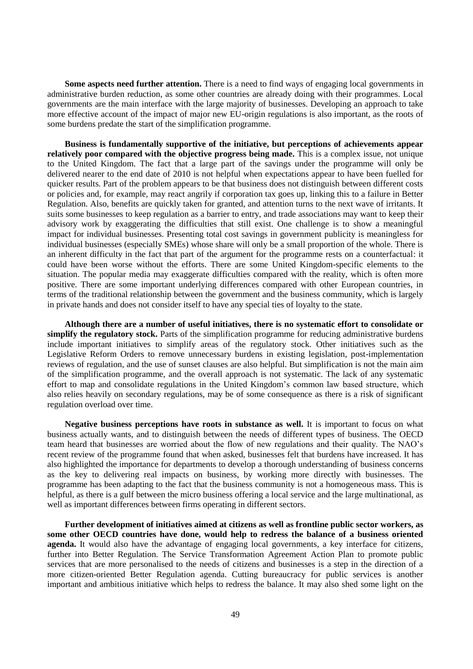**Some aspects need further attention.** There is a need to find ways of engaging local governments in administrative burden reduction, as some other countries are already doing with their programmes. Local governments are the main interface with the large majority of businesses. Developing an approach to take more effective account of the impact of major new EU-origin regulations is also important, as the roots of some burdens predate the start of the simplification programme.

**Business is fundamentally supportive of the initiative, but perceptions of achievements appear relatively poor compared with the objective progress being made.** This is a complex issue, not unique to the United Kingdom. The fact that a large part of the savings under the programme will only be delivered nearer to the end date of 2010 is not helpful when expectations appear to have been fuelled for quicker results. Part of the problem appears to be that business does not distinguish between different costs or policies and, for example, may react angrily if corporation tax goes up, linking this to a failure in Better Regulation. Also, benefits are quickly taken for granted, and attention turns to the next wave of irritants. It suits some businesses to keep regulation as a barrier to entry, and trade associations may want to keep their advisory work by exaggerating the difficulties that still exist. One challenge is to show a meaningful impact for individual businesses. Presenting total cost savings in government publicity is meaningless for individual businesses (especially SMEs) whose share will only be a small proportion of the whole. There is an inherent difficulty in the fact that part of the argument for the programme rests on a counterfactual: it could have been worse without the efforts. There are some United Kingdom-specific elements to the situation. The popular media may exaggerate difficulties compared with the reality, which is often more positive. There are some important underlying differences compared with other European countries, in terms of the traditional relationship between the government and the business community, which is largely in private hands and does not consider itself to have any special ties of loyalty to the state.

**Although there are a number of useful initiatives, there is no systematic effort to consolidate or simplify the regulatory stock.** Parts of the simplification programme for reducing administrative burdens include important initiatives to simplify areas of the regulatory stock. Other initiatives such as the Legislative Reform Orders to remove unnecessary burdens in existing legislation, post-implementation reviews of regulation, and the use of sunset clauses are also helpful. But simplification is not the main aim of the simplification programme, and the overall approach is not systematic. The lack of any systematic effort to map and consolidate regulations in the United Kingdom's common law based structure, which also relies heavily on secondary regulations, may be of some consequence as there is a risk of significant regulation overload over time.

**Negative business perceptions have roots in substance as well.** It is important to focus on what business actually wants, and to distinguish between the needs of different types of business. The OECD team heard that businesses are worried about the flow of new regulations and their quality. The NAO's recent review of the programme found that when asked, businesses felt that burdens have increased. It has also highlighted the importance for departments to develop a thorough understanding of business concerns as the key to delivering real impacts on business, by working more directly with businesses. The programme has been adapting to the fact that the business community is not a homogeneous mass. This is helpful, as there is a gulf between the micro business offering a local service and the large multinational, as well as important differences between firms operating in different sectors.

**Further development of initiatives aimed at citizens as well as frontline public sector workers, as some other OECD countries have done, would help to redress the balance of a business oriented agenda.** It would also have the advantage of engaging local governments, a key interface for citizens, further into Better Regulation. The Service Transformation Agreement Action Plan to promote public services that are more personalised to the needs of citizens and businesses is a step in the direction of a more citizen-oriented Better Regulation agenda. Cutting bureaucracy for public services is another important and ambitious initiative which helps to redress the balance. It may also shed some light on the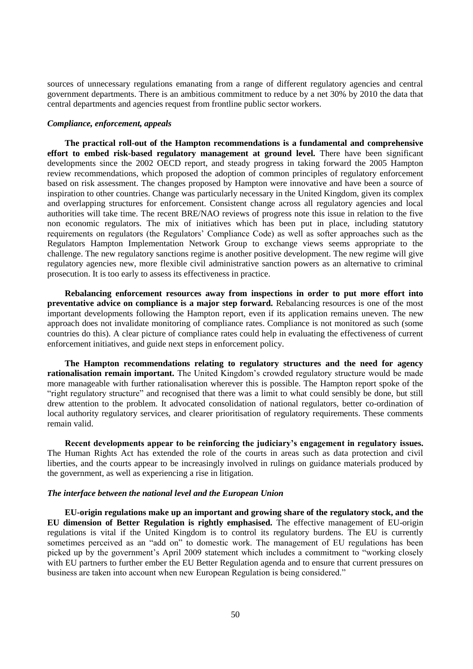sources of unnecessary regulations emanating from a range of different regulatory agencies and central government departments. There is an ambitious commitment to reduce by a net 30% by 2010 the data that central departments and agencies request from frontline public sector workers.

#### *Compliance, enforcement, appeals*

**The practical roll-out of the Hampton recommendations is a fundamental and comprehensive effort to embed risk-based regulatory management at ground level.** There have been significant developments since the 2002 OECD report, and steady progress in taking forward the 2005 Hampton review recommendations, which proposed the adoption of common principles of regulatory enforcement based on risk assessment. The changes proposed by Hampton were innovative and have been a source of inspiration to other countries. Change was particularly necessary in the United Kingdom, given its complex and overlapping structures for enforcement. Consistent change across all regulatory agencies and local authorities will take time. The recent BRE/NAO reviews of progress note this issue in relation to the five non economic regulators. The mix of initiatives which has been put in place, including statutory requirements on regulators (the Regulators' Compliance Code) as well as softer approaches such as the Regulators Hampton Implementation Network Group to exchange views seems appropriate to the challenge. The new regulatory sanctions regime is another positive development. The new regime will give regulatory agencies new, more flexible civil administrative sanction powers as an alternative to criminal prosecution. It is too early to assess its effectiveness in practice.

**Rebalancing enforcement resources away from inspections in order to put more effort into preventative advice on compliance is a major step forward.** Rebalancing resources is one of the most important developments following the Hampton report, even if its application remains uneven. The new approach does not invalidate monitoring of compliance rates. Compliance is not monitored as such (some countries do this). A clear picture of compliance rates could help in evaluating the effectiveness of current enforcement initiatives, and guide next steps in enforcement policy.

**The Hampton recommendations relating to regulatory structures and the need for agency rationalisation remain important.** The United Kingdom's crowded regulatory structure would be made more manageable with further rationalisation wherever this is possible. The Hampton report spoke of the "right regulatory structure" and recognised that there was a limit to what could sensibly be done, but still drew attention to the problem. It advocated consolidation of national regulators, better co-ordination of local authority regulatory services, and clearer prioritisation of regulatory requirements. These comments remain valid.

**Recent developments appear to be reinforcing the judiciary's engagement in regulatory issues.** The Human Rights Act has extended the role of the courts in areas such as data protection and civil liberties, and the courts appear to be increasingly involved in rulings on guidance materials produced by the government, as well as experiencing a rise in litigation.

## *The interface between the national level and the European Union*

**EU-origin regulations make up an important and growing share of the regulatory stock, and the EU dimension of Better Regulation is rightly emphasised.** The effective management of EU-origin regulations is vital if the United Kingdom is to control its regulatory burdens. The EU is currently sometimes perceived as an "add on" to domestic work. The management of EU regulations has been picked up by the government's April 2009 statement which includes a commitment to "working closely with EU partners to further ember the EU Better Regulation agenda and to ensure that current pressures on business are taken into account when new European Regulation is being considered."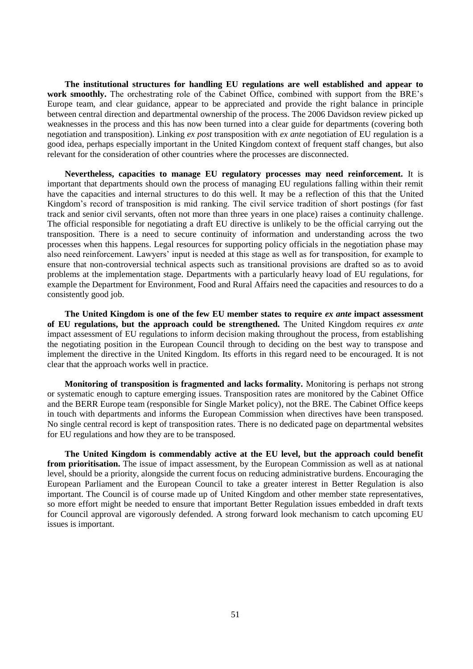**The institutional structures for handling EU regulations are well established and appear to work smoothly.** The orchestrating role of the Cabinet Office, combined with support from the BRE's Europe team, and clear guidance, appear to be appreciated and provide the right balance in principle between central direction and departmental ownership of the process. The 2006 Davidson review picked up weaknesses in the process and this has now been turned into a clear guide for departments (covering both negotiation and transposition). Linking *ex post* transposition with *ex ante* negotiation of EU regulation is a good idea, perhaps especially important in the United Kingdom context of frequent staff changes, but also relevant for the consideration of other countries where the processes are disconnected.

**Nevertheless, capacities to manage EU regulatory processes may need reinforcement.** It is important that departments should own the process of managing EU regulations falling within their remit have the capacities and internal structures to do this well. It may be a reflection of this that the United Kingdom's record of transposition is mid ranking. The civil service tradition of short postings (for fast track and senior civil servants, often not more than three years in one place) raises a continuity challenge. The official responsible for negotiating a draft EU directive is unlikely to be the official carrying out the transposition. There is a need to secure continuity of information and understanding across the two processes when this happens. Legal resources for supporting policy officials in the negotiation phase may also need reinforcement. Lawyers' input is needed at this stage as well as for transposition, for example to ensure that non-controversial technical aspects such as transitional provisions are drafted so as to avoid problems at the implementation stage. Departments with a particularly heavy load of EU regulations, for example the Department for Environment, Food and Rural Affairs need the capacities and resources to do a consistently good job.

**The United Kingdom is one of the few EU member states to require** *ex ante* **impact assessment of EU regulations, but the approach could be strengthened.** The United Kingdom requires *ex ante* impact assessment of EU regulations to inform decision making throughout the process, from establishing the negotiating position in the European Council through to deciding on the best way to transpose and implement the directive in the United Kingdom. Its efforts in this regard need to be encouraged. It is not clear that the approach works well in practice.

**Monitoring of transposition is fragmented and lacks formality.** Monitoring is perhaps not strong or systematic enough to capture emerging issues. Transposition rates are monitored by the Cabinet Office and the BERR Europe team (responsible for Single Market policy), not the BRE. The Cabinet Office keeps in touch with departments and informs the European Commission when directives have been transposed. No single central record is kept of transposition rates. There is no dedicated page on departmental websites for EU regulations and how they are to be transposed.

**The United Kingdom is commendably active at the EU level, but the approach could benefit from prioritisation.** The issue of impact assessment, by the European Commission as well as at national level, should be a priority, alongside the current focus on reducing administrative burdens. Encouraging the European Parliament and the European Council to take a greater interest in Better Regulation is also important. The Council is of course made up of United Kingdom and other member state representatives, so more effort might be needed to ensure that important Better Regulation issues embedded in draft texts for Council approval are vigorously defended. A strong forward look mechanism to catch upcoming EU issues is important.